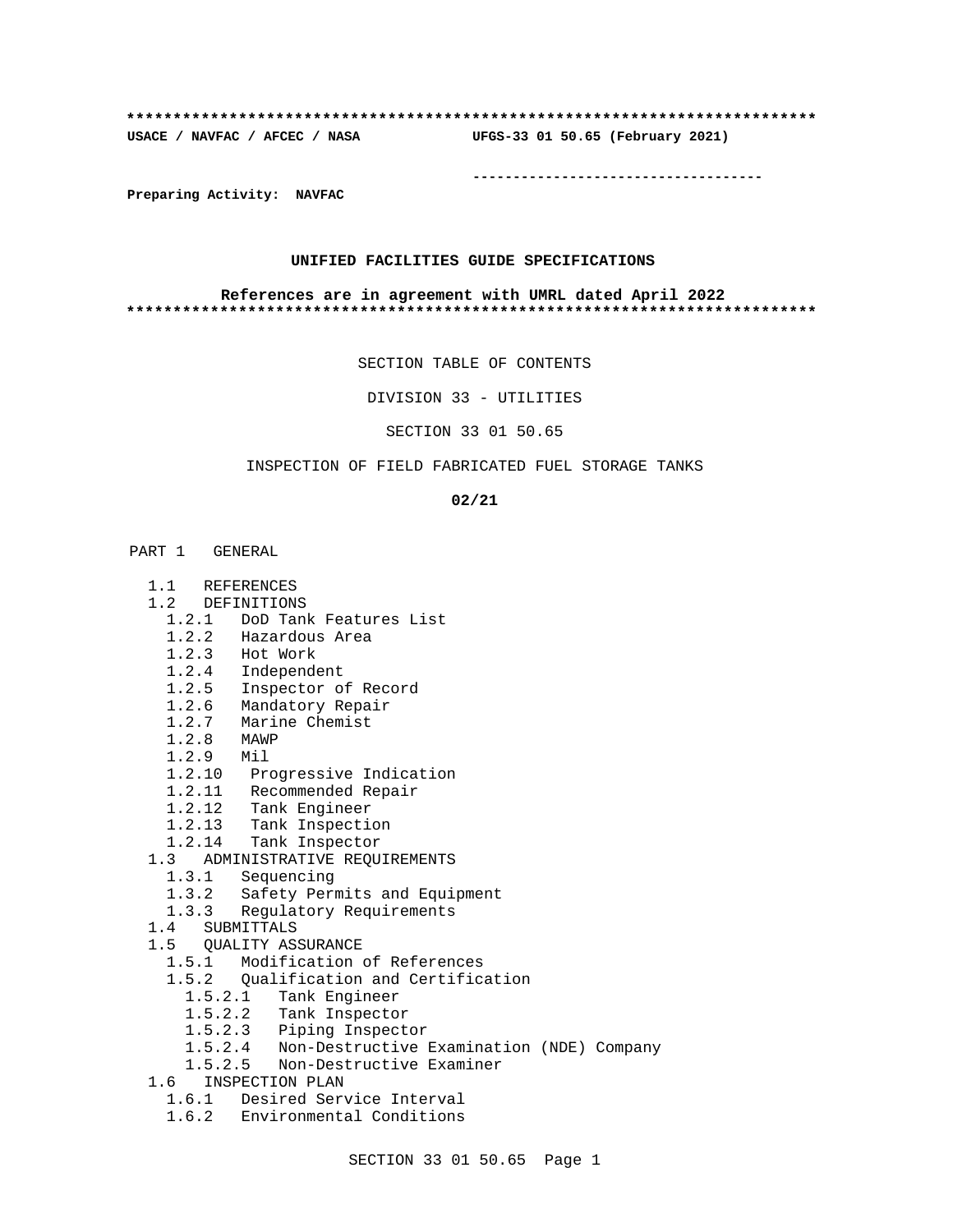# **\*\*\*\*\*\*\*\*\*\*\*\*\*\*\*\*\*\*\*\*\*\*\*\*\*\*\*\*\*\*\*\*\*\*\*\*\*\*\*\*\*\*\*\*\*\*\*\*\*\*\*\*\*\*\*\*\*\*\*\*\*\*\*\*\*\*\*\*\*\*\*\*\*\***

**USACE / NAVFAC / AFCEC / NASA UFGS-33 01 50.65 (February 2021)**

**------------------------------------**

**Preparing Activity: NAVFAC**

### **UNIFIED FACILITIES GUIDE SPECIFICATIONS**

#### **References are in agreement with UMRL dated April 2022 \*\*\*\*\*\*\*\*\*\*\*\*\*\*\*\*\*\*\*\*\*\*\*\*\*\*\*\*\*\*\*\*\*\*\*\*\*\*\*\*\*\*\*\*\*\*\*\*\*\*\*\*\*\*\*\*\*\*\*\*\*\*\*\*\*\*\*\*\*\*\*\*\*\***

SECTION TABLE OF CONTENTS

DIVISION 33 - UTILITIES

SECTION 33 01 50.65

## INSPECTION OF FIELD FABRICATED FUEL STORAGE TANKS

**02/21**

- PART 1 GENERAL
	- 1.1 REFERENCES
	- 1.2 DEFINITIONS
		- 1.2.1 DoD Tank Features List
		- 1.2.2 Hazardous Area
		- 1.2.3 Hot Work
		- 1.2.4 Independent
		- 1.2.5 Inspector of Record
- 1.2.6 Mandatory Repair
- 1.2.7 Marine Chemist
- 1.2.8 MAWP
	- 1.2.9 Mil
	- 1.2.10 Progressive Indication
	- 1.2.11 Recommended Repair
	- 1.2.12 Tank Engineer
	- 1.2.13 Tank Inspection
	- 1.2.14 Tank Inspector
	- 1.3 ADMINISTRATIVE REQUIREMENTS
		- 1.3.1 Sequencing
		- 1.3.2 Safety Permits and Equipment
		- 1.3.3 Regulatory Requirements
	- 1.4 SUBMITTALS
	- 1.5 QUALITY ASSURANCE
		- 1.5.1 Modification of References
		- 1.5.2 Qualification and Certification
			- 1.5.2.1 Tank Engineer
			- 1.5.2.2 Tank Inspector
			- 1.5.2.3 Piping Inspector
			- 1.5.2.4 Non-Destructive Examination (NDE) Company
			- 1.5.2.5 Non-Destructive Examiner
	- 1.6 INSPECTION PLAN
		- 1.6.1 Desired Service Interval
		- 1.6.2 Environmental Conditions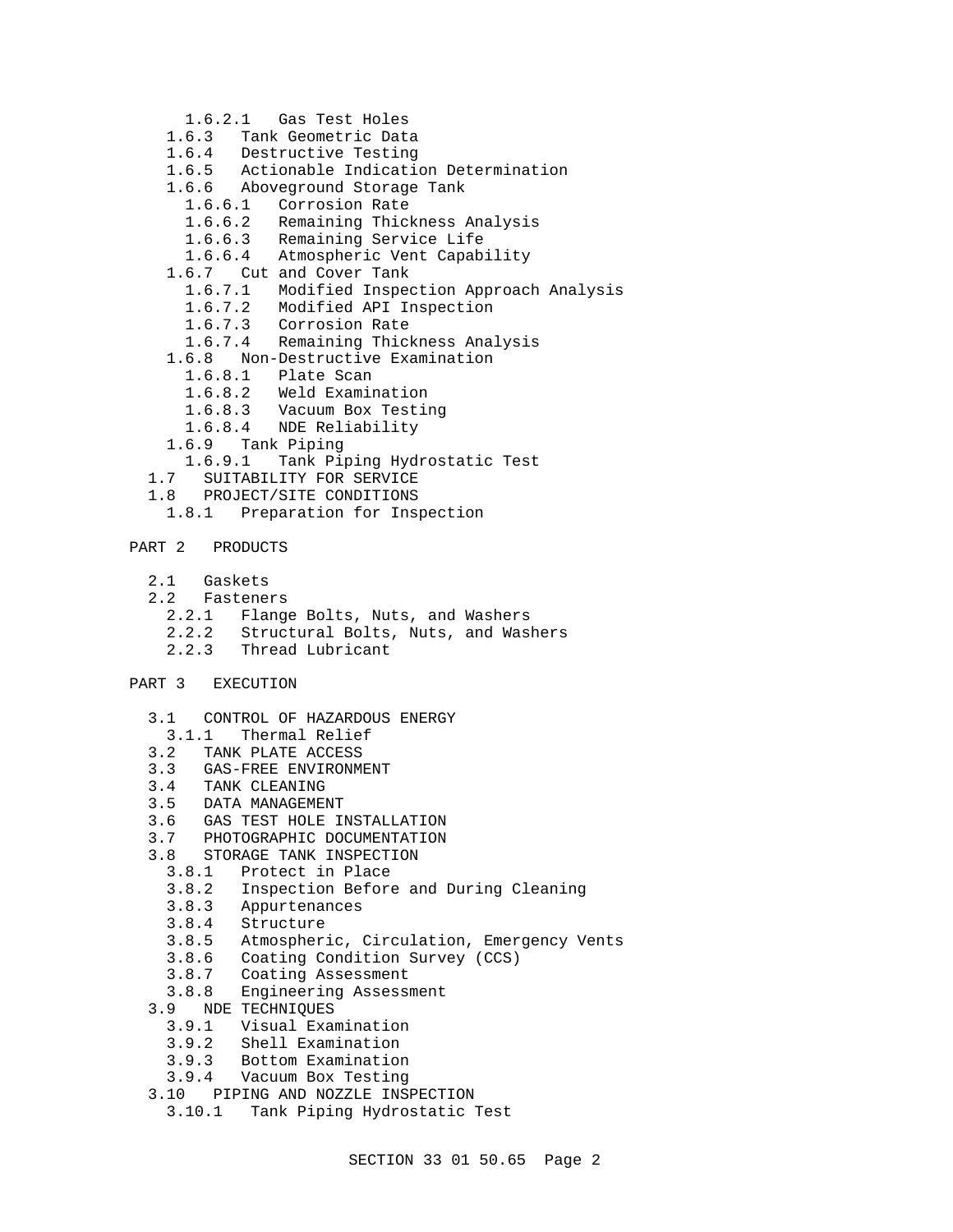- 1.6.2.1 Gas Test Holes
- 1.6.3 Tank Geometric Data
- 1.6.4 Destructive Testing
- 1.6.5 Actionable Indication Determination
- 1.6.6 Aboveground Storage Tank
	- 1.6.6.1 Corrosion Rate
	- 1.6.6.2 Remaining Thickness Analysis
	- 1.6.6.3 Remaining Service Life
	- 1.6.6.4 Atmospheric Vent Capability
- 1.6.7 Cut and Cover Tank
	- 1.6.7.1 Modified Inspection Approach Analysis
	- 1.6.7.2 Modified API Inspection
	- 1.6.7.3 Corrosion Rate
	- 1.6.7.4 Remaining Thickness Analysis
- 1.6.8 Non-Destructive Examination
	- 1.6.8.1 Plate Scan
	- 1.6.8.2 Weld Examination
	- 1.6.8.3 Vacuum Box Testing
	- 1.6.8.4 NDE Reliability
- 1.6.9 Tank Piping
- Tank Piping Hydrostatic Test
- 1.7 SUITABILITY FOR SERVICE
- 1.8 PROJECT/SITE CONDITIONS<br>1.8.1 Preparation for Insp
	- Preparation for Inspection
- PART 2 PRODUCTS
	- 2.1 Gaskets
	- 2.2 Fasteners
		- 2.2.1 Flange Bolts, Nuts, and Washers
		- 2.2.2 Structural Bolts, Nuts, and Washers
		- 2.2.3 Thread Lubricant
- PART 3 EXECUTION
	- 3.1 CONTROL OF HAZARDOUS ENERGY
	- 3.1.1 Thermal Relief
	-
	- 3.2 TANK PLATE ACCESS<br>3.3 GAS-FREE ENVIRONM 3.3 GAS-FREE ENVIRONMENT<br>3.4 TANK CLEANING
	- TANK CLEANING
	- 3.5 DATA MANAGEMENT
	- 3.6 GAS TEST HOLE INSTALLATION
	- 3.7 PHOTOGRAPHIC DOCUMENTATION
	- 3.8 STORAGE TANK INSPECTION
		- 3.8.1 Protect in Place
		- 3.8.2 Inspection Before and During Cleaning
		- 3.8.3 Appurtenances
		- 3.8.4 Structure
		- 3.8.5 Atmospheric, Circulation, Emergency Vents
		- 3.8.6 Coating Condition Survey (CCS)<br>3.8.7 Coating Assessment
		- Coating Assessment
		- 3.8.8 Engineering Assessment
	- 3.9 NDE TECHNIQUES
		- 3.9.1 Visual Examination
		- 3.9.2 Shell Examination
		- 3.9.3 Bottom Examination
	- 3.9.4 Vacuum Box Testing
	- 3.10 PIPING AND NOZZLE INSPECTION
		- 3.10.1 Tank Piping Hydrostatic Test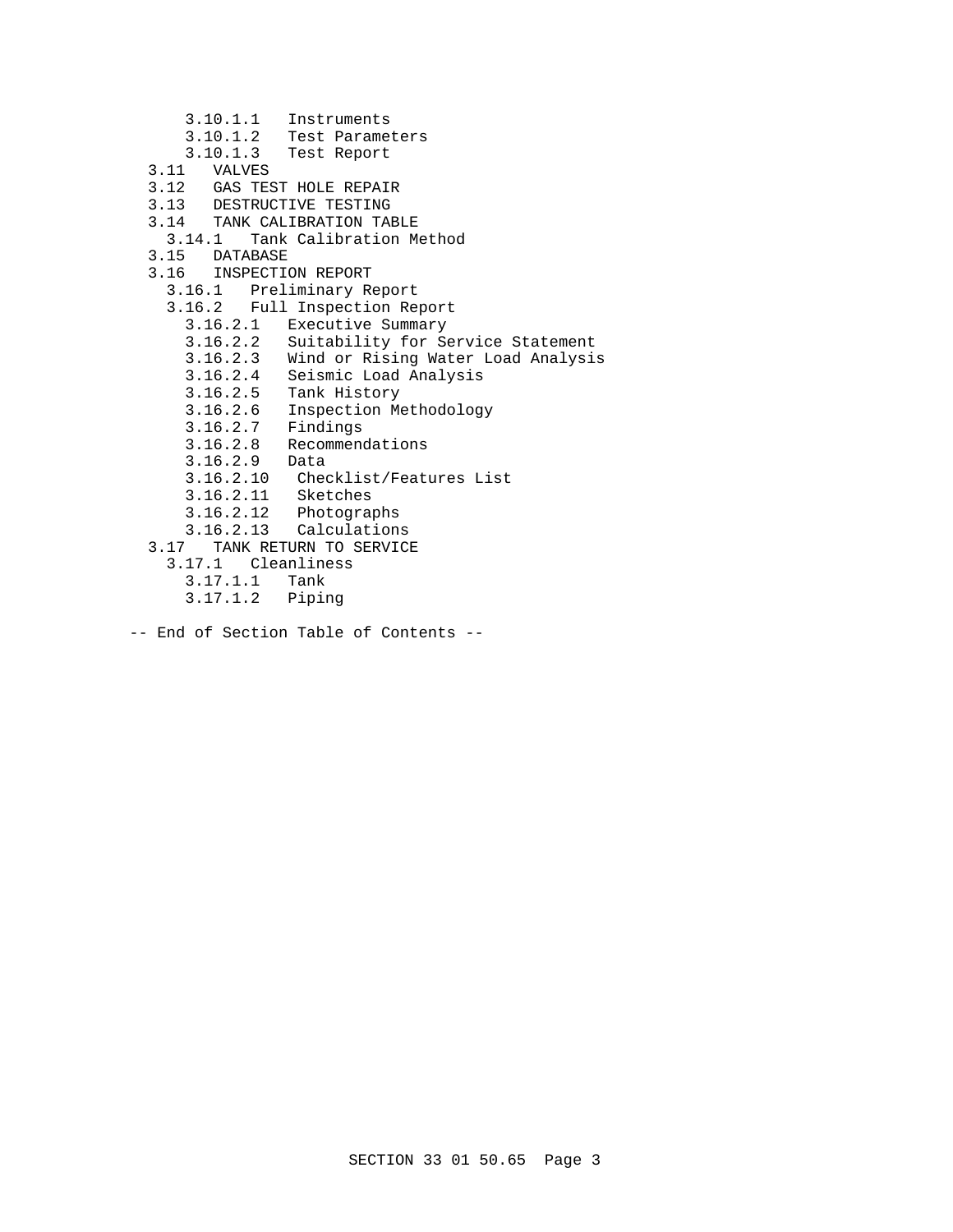- 3.10.1.1 Instruments
- 3.10.1.2 Test Parameters
- 3.10.1.3 Test Report
- 3.11 VALVES
- 3.12 GAS TEST HOLE REPAIR
- 3.13 DESTRUCTIVE TESTING
- 3.14 TANK CALIBRATION TABLE<br>3.14.1 Tank Calibration M
- Tank Calibration Method
- 3.15 DATABASE<br>3.16 INSPECTI
- 3.16 INSPECTION REPORT
- 3.16.1 Preliminary Report
- 3.16.2 Full Inspection Report
	- 3.16.2.1 Executive Summary
	- 3.16.2.2 Suitability for Service Statement
	- 3.16.2.3 Wind or Rising Water Load Analysis
	- 3.16.2.4 Seismic Load Analysis
	- 3.16.2.5 Tank History
- 3.16.2.6 Inspection Methodology
- 3.16.2.7 Findings
	- 3.16.2.8 Recommendations
	- 3.16.2.9 Data
	- 3.16.2.10 Checklist/Features List
	- 3.16.2.11 Sketches
	- 3.16.2.12 Photographs
	- 3.16.2.13 Calculations
	- 3.17 TANK RETURN TO SERVICE
		- 3.17.1 Cleanliness
			- 3.17.1.1 Tank
			- 3.17.1.2 Piping
- -- End of Section Table of Contents --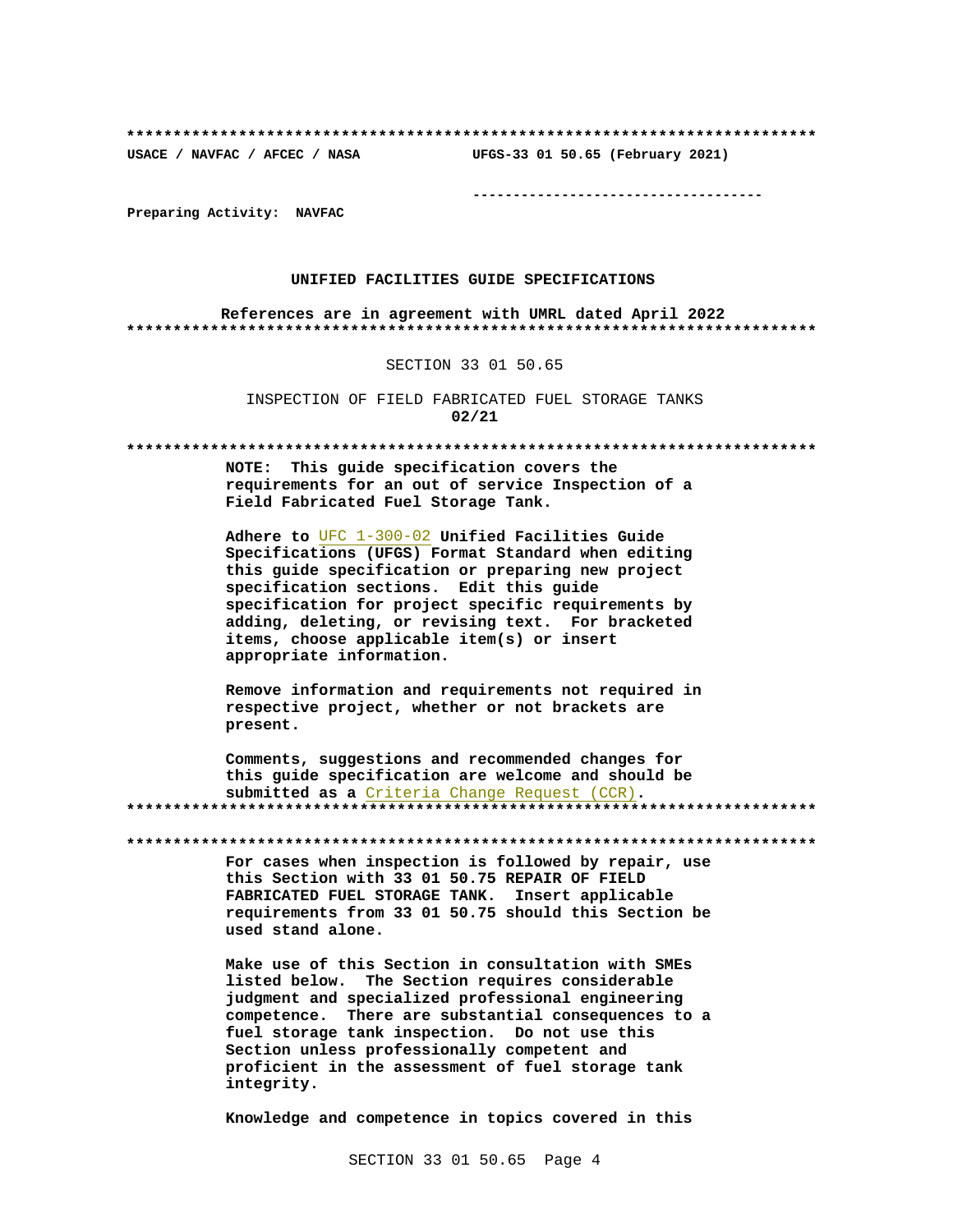UFGS-33 01 50.65 (February 2021) USACE / NAVFAC / AFCEC / NASA

--------------------------------------

Preparing Activity: NAVFAC

## UNIFIED FACILITIES GUIDE SPECIFICATIONS

References are in agreement with UMRL dated April 2022 

#### SECTION 33 01 50.65

INSPECTION OF FIELD FABRICATED FUEL STORAGE TANKS  $02/21$ 

NOTE: This guide specification covers the requirements for an out of service Inspection of a Field Fabricated Fuel Storage Tank.

Adhere to UFC 1-300-02 Unified Facilities Guide Specifications (UFGS) Format Standard when editing this quide specification or preparing new project specification sections. Edit this guide specification for project specific requirements by adding, deleting, or revising text. For bracketed items, choose applicable item(s) or insert appropriate information.

Remove information and requirements not required in respective project, whether or not brackets are present.

Comments, suggestions and recommended changes for this quide specification are welcome and should be submitted as a Criteria Change Request (CCR). 

For cases when inspection is followed by repair, use this Section with 33 01 50.75 REPAIR OF FIELD FABRICATED FUEL STORAGE TANK. Insert applicable requirements from 33 01 50.75 should this Section be used stand alone.

Make use of this Section in consultation with SMEs listed below. The Section requires considerable judgment and specialized professional engineering competence. There are substantial consequences to a fuel storage tank inspection. Do not use this Section unless professionally competent and proficient in the assessment of fuel storage tank integrity.

Knowledge and competence in topics covered in this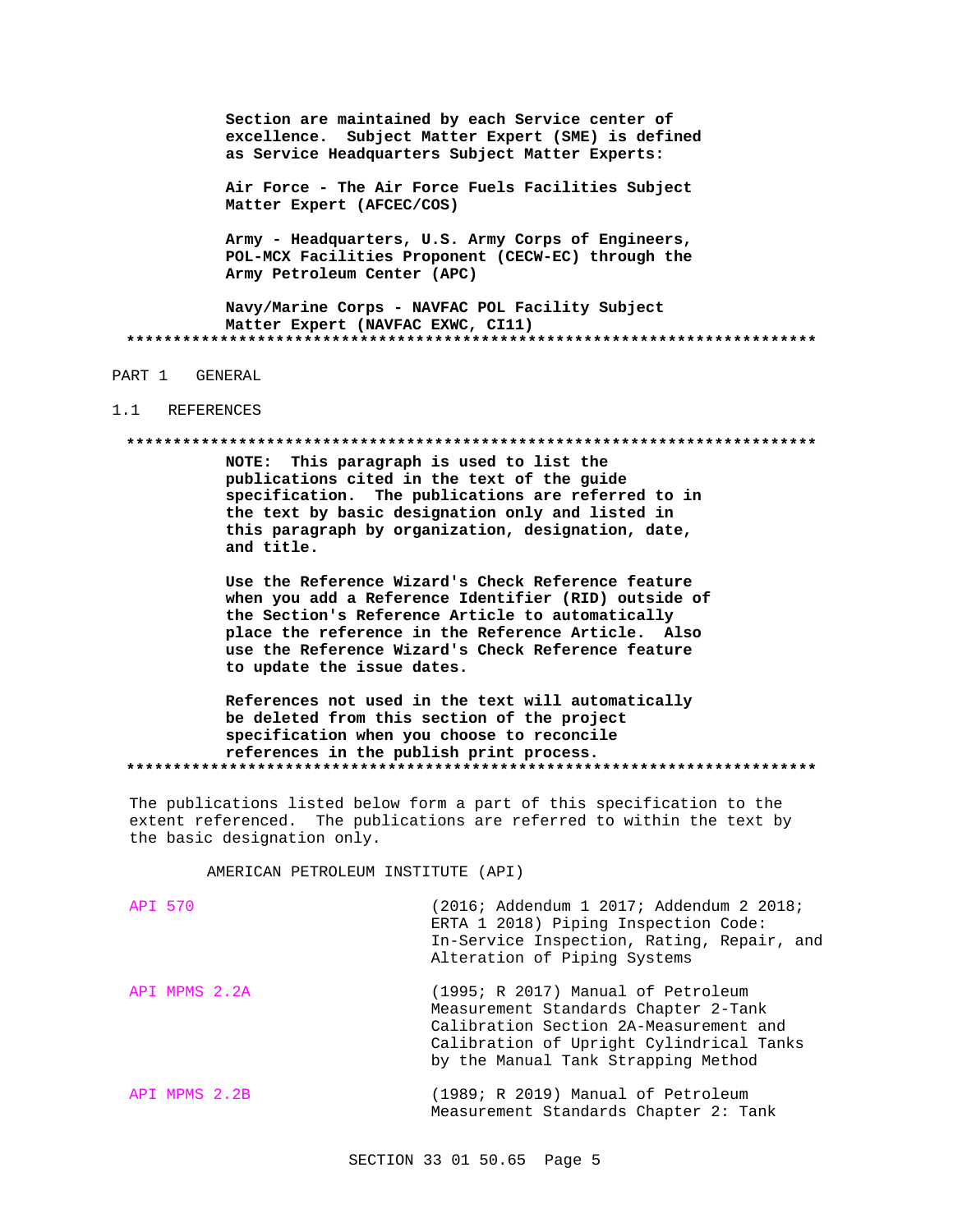Section are maintained by each Service center of excellence. Subject Matter Expert (SME) is defined as Service Headquarters Subject Matter Experts:

Air Force - The Air Force Fuels Facilities Subject Matter Expert (AFCEC/COS)

Army - Headquarters, U.S. Army Corps of Engineers, POL-MCX Facilities Proponent (CECW-EC) through the Army Petroleum Center (APC)

Navy/Marine Corps - NAVFAC POL Facility Subject Matter Expert (NAVFAC EXWC, CI11) 

## PART 1 GENERAL

#### $1.1$ REFERENCES

#### 

NOTE: This paragraph is used to list the publications cited in the text of the guide specification. The publications are referred to in the text by basic designation only and listed in this paragraph by organization, designation, date, and title.

Use the Reference Wizard's Check Reference feature when you add a Reference Identifier (RID) outside of the Section's Reference Article to automatically place the reference in the Reference Article. Also use the Reference Wizard's Check Reference feature to update the issue dates.

References not used in the text will automatically be deleted from this section of the project specification when you choose to reconcile references in the publish print process. 

The publications listed below form a part of this specification to the extent referenced. The publications are referred to within the text by the basic designation only.

AMERICAN PETROLEUM INSTITUTE (API)

| API 570       | (2016; Addendum 1 2017; Addendum 2 2018;<br>ERTA 1 2018) Piping Inspection Code:<br>In-Service Inspection, Rating, Repair, and<br>Alteration of Piping Systems                                          |
|---------------|---------------------------------------------------------------------------------------------------------------------------------------------------------------------------------------------------------|
| API MPMS 2.2A | (1995; R 2017) Manual of Petroleum<br>Measurement Standards Chapter 2-Tank<br>Calibration Section 2A-Measurement and<br>Calibration of Upright Cylindrical Tanks<br>by the Manual Tank Strapping Method |
| API MPMS 2.2B | (1989; R 2019) Manual of Petroleum<br>Measurement Standards Chapter 2: Tank                                                                                                                             |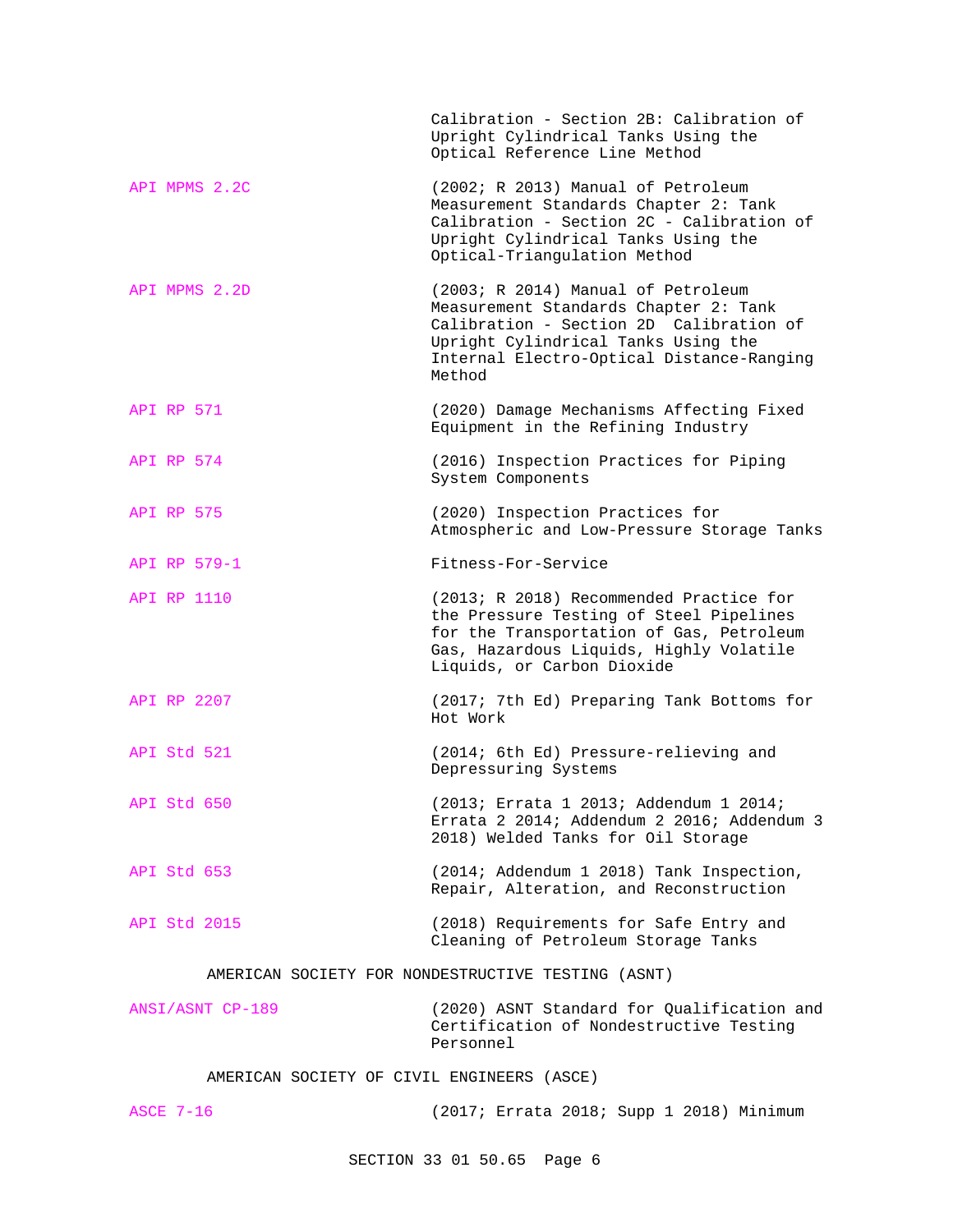|                                                    | Calibration - Section 2B: Calibration of<br>Upright Cylindrical Tanks Using the<br>Optical Reference Line Method                                                                                                     |  |
|----------------------------------------------------|----------------------------------------------------------------------------------------------------------------------------------------------------------------------------------------------------------------------|--|
| API MPMS 2.2C                                      | (2002; R 2013) Manual of Petroleum<br>Measurement Standards Chapter 2: Tank<br>Calibration - Section 2C - Calibration of<br>Upright Cylindrical Tanks Using the<br>Optical-Triangulation Method                      |  |
| API MPMS 2.2D                                      | (2003; R 2014) Manual of Petroleum<br>Measurement Standards Chapter 2: Tank<br>Calibration - Section 2D Calibration of<br>Upright Cylindrical Tanks Using the<br>Internal Electro-Optical Distance-Ranging<br>Method |  |
| <b>API RP 571</b>                                  | (2020) Damage Mechanisms Affecting Fixed<br>Equipment in the Refining Industry                                                                                                                                       |  |
| API RP 574                                         | (2016) Inspection Practices for Piping<br>System Components                                                                                                                                                          |  |
| <b>API RP 575</b>                                  | (2020) Inspection Practices for<br>Atmospheric and Low-Pressure Storage Tanks                                                                                                                                        |  |
| API RP 579-1                                       | Fitness-For-Service                                                                                                                                                                                                  |  |
| API RP 1110                                        | (2013; R 2018) Recommended Practice for<br>the Pressure Testing of Steel Pipelines<br>for the Transportation of Gas, Petroleum<br>Gas, Hazardous Liquids, Highly Volatile<br>Liquids, or Carbon Dioxide              |  |
| API RP 2207                                        | (2017; 7th Ed) Preparing Tank Bottoms for<br>Hot Work                                                                                                                                                                |  |
| API Std 521                                        | (2014; 6th Ed) Pressure-relieving and<br>Depressuring Systems                                                                                                                                                        |  |
| API Std 650                                        | (2013; Errata 1 2013; Addendum 1 2014;<br>Errata 2 2014; Addendum 2 2016; Addendum 3<br>2018) Welded Tanks for Oil Storage                                                                                           |  |
| API Std 653                                        | (2014; Addendum 1 2018) Tank Inspection,<br>Repair, Alteration, and Reconstruction                                                                                                                                   |  |
| <b>API Std 2015</b>                                | (2018) Requirements for Safe Entry and<br>Cleaning of Petroleum Storage Tanks                                                                                                                                        |  |
| AMERICAN SOCIETY FOR NONDESTRUCTIVE TESTING (ASNT) |                                                                                                                                                                                                                      |  |
| ANSI/ASNT CP-189                                   | (2020) ASNT Standard for Qualification and                                                                                                                                                                           |  |

AMERICAN SOCIETY OF CIVIL ENGINEERS (ASCE)

ASCE 7-16 (2017; Errata 2018; Supp 1 2018) Minimum

Personnel

Certification of Nondestructive Testing

SECTION 33 01 50.65 Page 6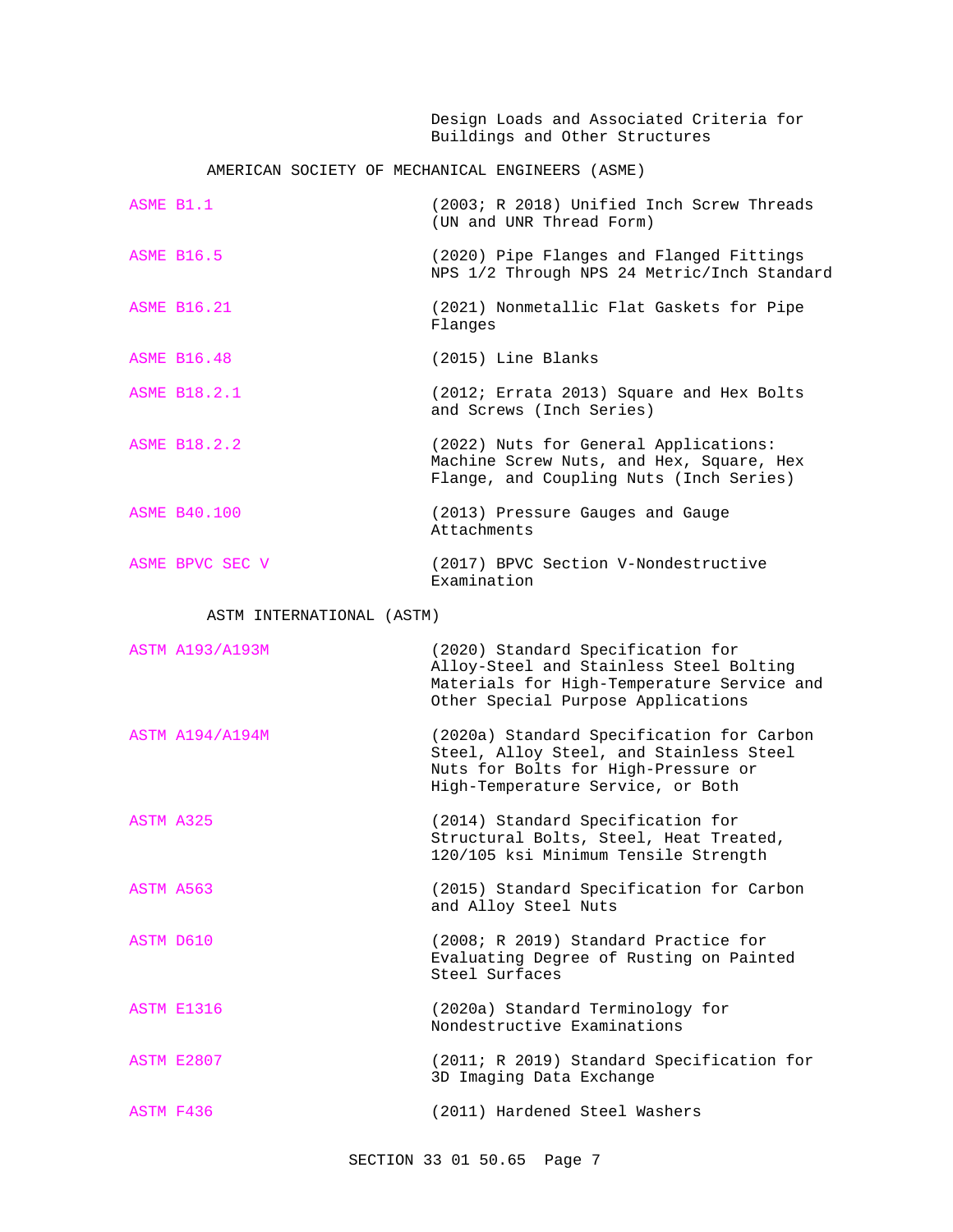Design Loads and Associated Criteria for Buildings and Other Structures

# AMERICAN SOCIETY OF MECHANICAL ENGINEERS (ASME)

| ASME B1.1           | (2003; R 2018) Unified Inch Screw Threads<br>(UN and UNR Thread Form)                                                        |
|---------------------|------------------------------------------------------------------------------------------------------------------------------|
| <b>ASME B16.5</b>   | (2020) Pipe Flanges and Flanged Fittings<br>NPS 1/2 Through NPS 24 Metric/Inch Standard                                      |
| <b>ASME B16.21</b>  | (2021) Nonmetallic Flat Gaskets for Pipe<br>Flanges                                                                          |
| <b>ASME B16.48</b>  | (2015) Line Blanks                                                                                                           |
| <b>ASME B18.2.1</b> | (2012; Errata 2013) Square and Hex Bolts<br>and Screws (Inch Series)                                                         |
| <b>ASME B18.2.2</b> | (2022) Nuts for General Applications:<br>Machine Screw Nuts, and Hex, Square, Hex<br>Flange, and Coupling Nuts (Inch Series) |
| <b>ASME B40.100</b> | (2013) Pressure Gauges and Gauge<br>Attachments                                                                              |
| ASME BPVC SEC V     | (2017) BPVC Section V-Nondestructive<br>Examination                                                                          |

# ASTM INTERNATIONAL (ASTM)

| <b>ASTM A193/A193M</b> | (2020) Standard Specification for<br>Alloy-Steel and Stainless Steel Bolting<br>Materials for High-Temperature Service and<br>Other Special Purpose Applications |
|------------------------|------------------------------------------------------------------------------------------------------------------------------------------------------------------|
| <b>ASTM A194/A194M</b> | (2020a) Standard Specification for Carbon<br>Steel, Alloy Steel, and Stainless Steel<br>Nuts for Bolts for High-Pressure or<br>High-Temperature Service, or Both |
| ASTM A325              | (2014) Standard Specification for<br>Structural Bolts, Steel, Heat Treated,<br>120/105 ksi Minimum Tensile Strength                                              |
| ASTM A563              | (2015) Standard Specification for Carbon<br>and Alloy Steel Nuts                                                                                                 |
| ASTM D610              | (2008; R 2019) Standard Practice for<br>Evaluating Degree of Rusting on Painted<br>Steel Surfaces                                                                |
| <b>ASTM E1316</b>      | (2020a) Standard Terminology for<br>Nondestructive Examinations                                                                                                  |
| <b>ASTM E2807</b>      | (2011; R 2019) Standard Specification for<br>3D Imaging Data Exchange                                                                                            |
| ASTM F436              | (2011) Hardened Steel Washers                                                                                                                                    |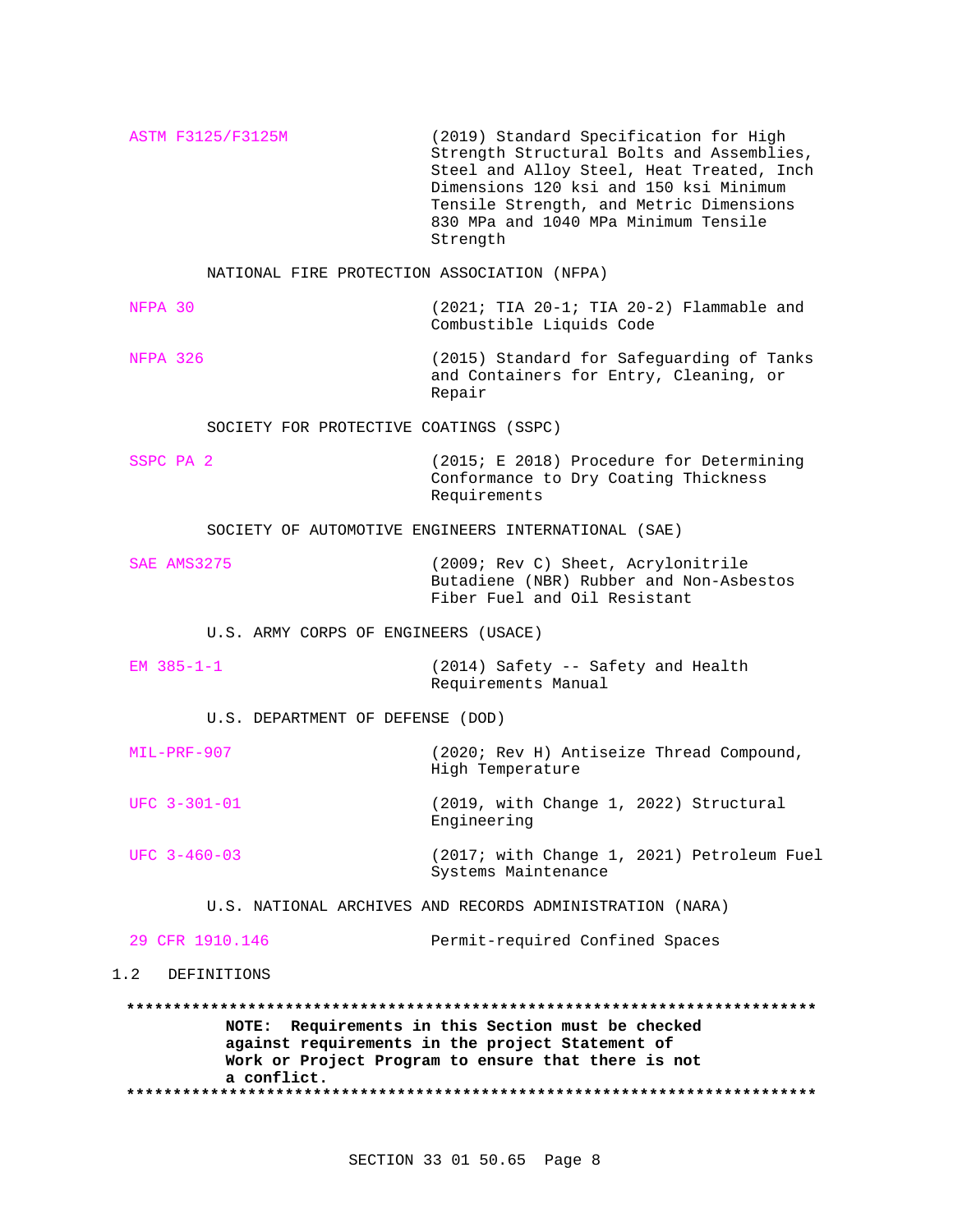ASTM F3125/F3125M (2019) Standard Specification for High Strength Structural Bolts and Assemblies, Steel and Alloy Steel, Heat Treated, Inch Dimensions 120 ksi and 150 ksi Minimum Tensile Strength, and Metric Dimensions 830 MPa and 1040 MPa Minimum Tensile Strength

NATIONAL FIRE PROTECTION ASSOCIATION (NFPA)

NFPA 30 (2021; TIA 20-1; TIA 20-2) Flammable and Combustible Liquids Code

NFPA 326 (2015) Standard for Safeguarding of Tanks and Containers for Entry, Cleaning, or Repair

SOCIETY FOR PROTECTIVE COATINGS (SSPC)

SSPC PA 2 (2015; E 2018) Procedure for Determining Conformance to Dry Coating Thickness Requirements

SOCIETY OF AUTOMOTIVE ENGINEERS INTERNATIONAL (SAE)

SAE AMS3275 (2009; Rev C) Sheet, Acrylonitrile Butadiene (NBR) Rubber and Non-Asbestos Fiber Fuel and Oil Resistant

U.S. ARMY CORPS OF ENGINEERS (USACE)

EM 385-1-1 (2014) Safety -- Safety and Health Requirements Manual

U.S. DEPARTMENT OF DEFENSE (DOD)

| MIL-PRF-907 | (2020; Rev H) Antiseize Thread Compound, |
|-------------|------------------------------------------|
|             | High Temperature                         |

UFC 3-301-01 (2019, with Change 1, 2022) Structural Engineering

UFC 3-460-03 (2017; with Change 1, 2021) Petroleum Fuel Systems Maintenance

U.S. NATIONAL ARCHIVES AND RECORDS ADMINISTRATION (NARA)

29 CFR 1910.146 Permit-required Confined Spaces

# 1.2 DEFINITIONS

**\*\*\*\*\*\*\*\*\*\*\*\*\*\*\*\*\*\*\*\*\*\*\*\*\*\*\*\*\*\*\*\*\*\*\*\*\*\*\*\*\*\*\*\*\*\*\*\*\*\*\*\*\*\*\*\*\*\*\*\*\*\*\*\*\*\*\*\*\*\*\*\*\*\* NOTE: Requirements in this Section must be checked against requirements in the project Statement of Work or Project Program to ensure that there is not a conflict. \*\*\*\*\*\*\*\*\*\*\*\*\*\*\*\*\*\*\*\*\*\*\*\*\*\*\*\*\*\*\*\*\*\*\*\*\*\*\*\*\*\*\*\*\*\*\*\*\*\*\*\*\*\*\*\*\*\*\*\*\*\*\*\*\*\*\*\*\*\*\*\*\*\***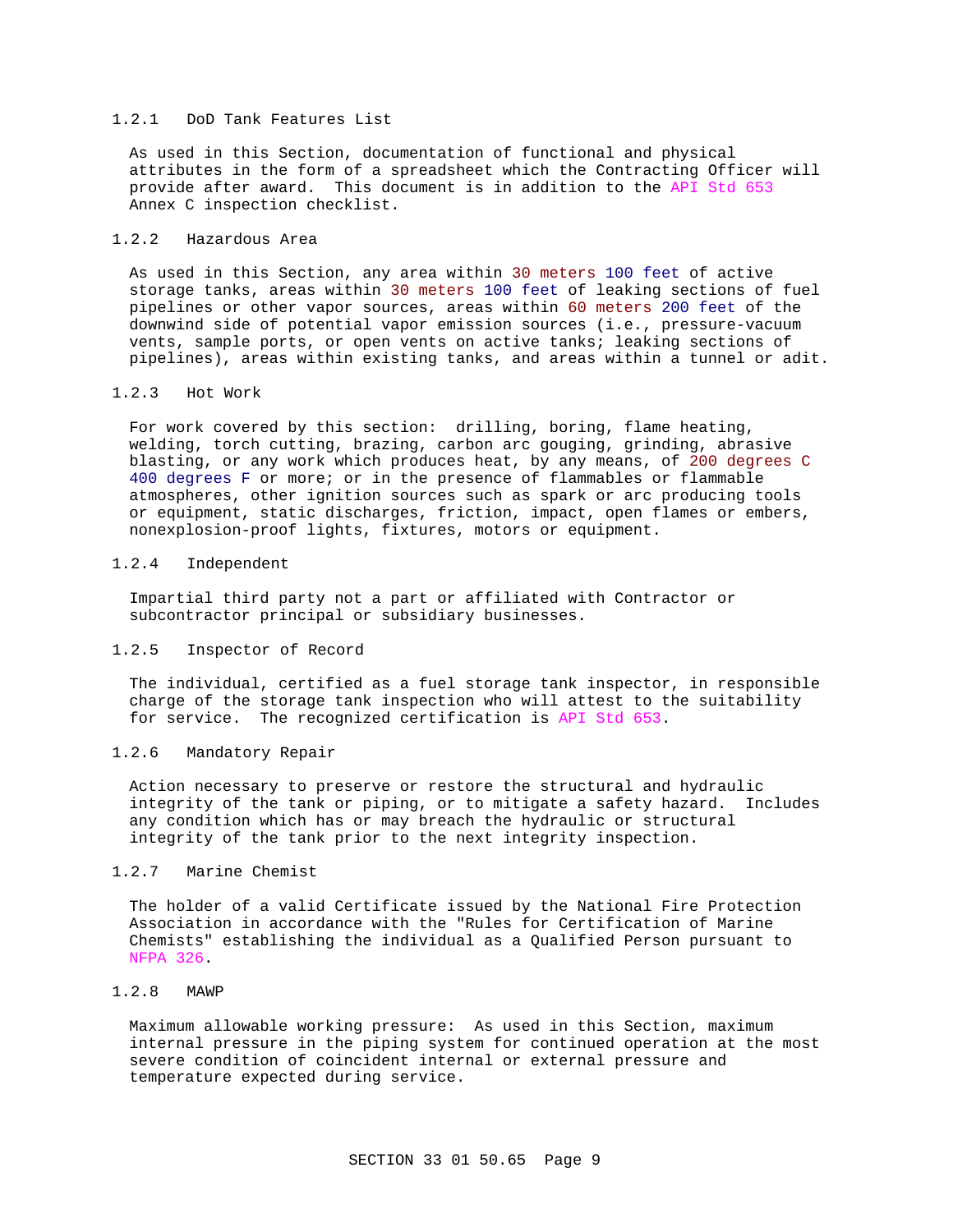## 1.2.1 DoD Tank Features List

As used in this Section, documentation of functional and physical attributes in the form of a spreadsheet which the Contracting Officer will provide after award. This document is in addition to the API Std 653 Annex C inspection checklist.

## 1.2.2 Hazardous Area

As used in this Section, any area within 30 meters 100 feet of active storage tanks, areas within 30 meters 100 feet of leaking sections of fuel pipelines or other vapor sources, areas within 60 meters 200 feet of the downwind side of potential vapor emission sources (i.e., pressure-vacuum vents, sample ports, or open vents on active tanks; leaking sections of pipelines), areas within existing tanks, and areas within a tunnel or adit.

## 1.2.3 Hot Work

For work covered by this section: drilling, boring, flame heating, welding, torch cutting, brazing, carbon arc gouging, grinding, abrasive blasting, or any work which produces heat, by any means, of 200 degrees C 400 degrees F or more; or in the presence of flammables or flammable atmospheres, other ignition sources such as spark or arc producing tools or equipment, static discharges, friction, impact, open flames or embers, nonexplosion-proof lights, fixtures, motors or equipment.

## 1.2.4 Independent

Impartial third party not a part or affiliated with Contractor or subcontractor principal or subsidiary businesses.

## 1.2.5 Inspector of Record

The individual, certified as a fuel storage tank inspector, in responsible charge of the storage tank inspection who will attest to the suitability for service. The recognized certification is API Std 653.

## 1.2.6 Mandatory Repair

Action necessary to preserve or restore the structural and hydraulic integrity of the tank or piping, or to mitigate a safety hazard. Includes any condition which has or may breach the hydraulic or structural integrity of the tank prior to the next integrity inspection.

## 1.2.7 Marine Chemist

The holder of a valid Certificate issued by the National Fire Protection Association in accordance with the "Rules for Certification of Marine Chemists" establishing the individual as a Qualified Person pursuant to NFPA 326.

# 1.2.8 MAWP

Maximum allowable working pressure: As used in this Section, maximum internal pressure in the piping system for continued operation at the most severe condition of coincident internal or external pressure and temperature expected during service.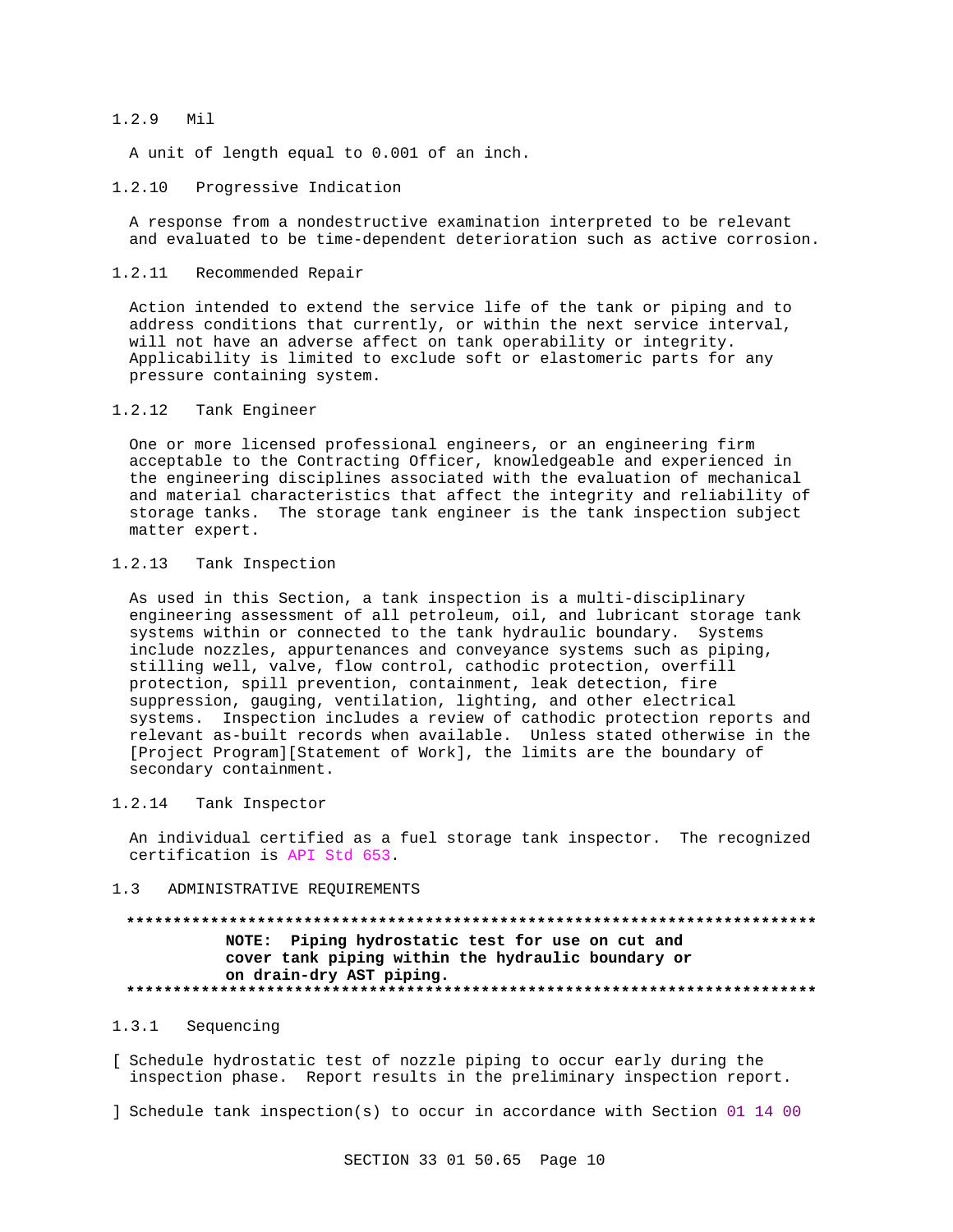#### $1.2.9$ Mil

A unit of length equal to 0.001 of an inch.

#### 1.2.10 Progressive Indication

A response from a nondestructive examination interpreted to be relevant and evaluated to be time-dependent deterioration such as active corrosion.

#### $1, 2, 11$ Recommended Repair

Action intended to extend the service life of the tank or piping and to address conditions that currently, or within the next service interval, will not have an adverse affect on tank operability or integrity. Applicability is limited to exclude soft or elastomeric parts for any pressure containing system.

#### $1.2.12$ Tank Engineer

One or more licensed professional engineers, or an engineering firm acceptable to the Contracting Officer, knowledgeable and experienced in the engineering disciplines associated with the evaluation of mechanical and material characteristics that affect the integrity and reliability of storage tanks. The storage tank engineer is the tank inspection subject matter expert.

#### $1.2.13$ Tank Inspection

As used in this Section, a tank inspection is a multi-disciplinary engineering assessment of all petroleum, oil, and lubricant storage tank systems within or connected to the tank hydraulic boundary. Systems include nozzles, appurtenances and conveyance systems such as piping, stilling well, valve, flow control, cathodic protection, overfill protection, spill prevention, containment, leak detection, fire suppression, gauging, ventilation, lighting, and other electrical systems. Inspection includes a review of cathodic protection reports and relevant as-built records when available. Unless stated otherwise in the [Project Program][Statement of Work], the limits are the boundary of secondary containment.

#### 1.2.14 Tank Inspector

An individual certified as a fuel storage tank inspector. The recognized certification is API Std 653.

#### ADMINISTRATIVE REQUIREMENTS  $1<sup>3</sup>$

# NOTE: Piping hydrostatic test for use on cut and cover tank piping within the hydraulic boundary or on drain-dry AST piping.

#### $1.3.1$ Sequencing

[ Schedule hydrostatic test of nozzle piping to occur early during the inspection phase. Report results in the preliminary inspection report.

] Schedule tank inspection(s) to occur in accordance with Section 01 14 00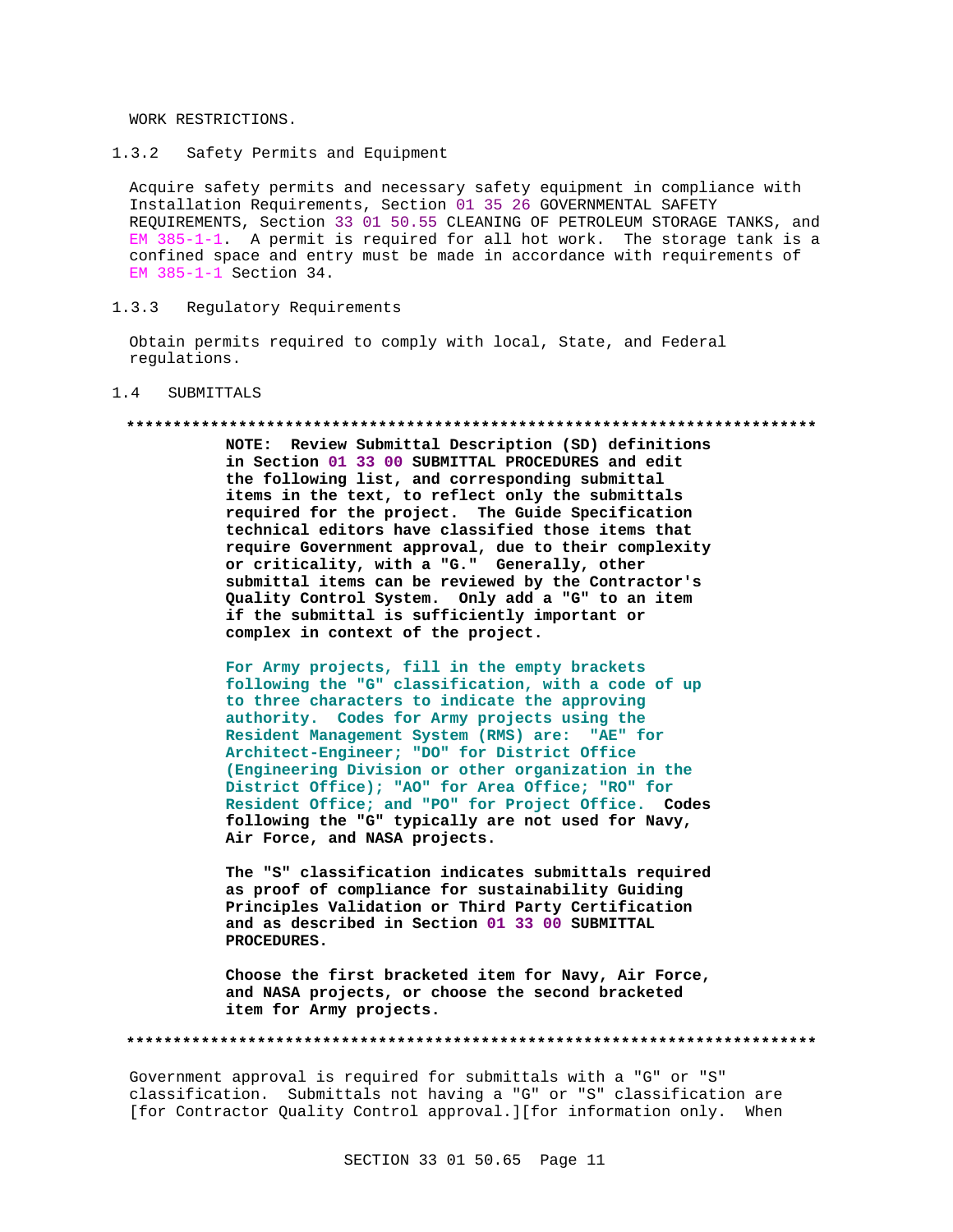WORK RESTRICTIONS.

1.3.2 Safety Permits and Equipment

Acquire safety permits and necessary safety equipment in compliance with Installation Requirements, Section 01 35 26 GOVERNMENTAL SAFETY REQUIREMENTS, Section 33 01 50.55 CLEANING OF PETROLEUM STORAGE TANKS, and EM 385-1-1. A permit is required for all hot work. The storage tank is a confined space and entry must be made in accordance with requirements of EM 385-1-1 Section 34.

1.3.3 Regulatory Requirements

Obtain permits required to comply with local, State, and Federal regulations.

## 1.4 SUBMITTALS

#### **\*\*\*\*\*\*\*\*\*\*\*\*\*\*\*\*\*\*\*\*\*\*\*\*\*\*\*\*\*\*\*\*\*\*\*\*\*\*\*\*\*\*\*\*\*\*\*\*\*\*\*\*\*\*\*\*\*\*\*\*\*\*\*\*\*\*\*\*\*\*\*\*\*\***

**NOTE: Review Submittal Description (SD) definitions in Section 01 33 00 SUBMITTAL PROCEDURES and edit the following list, and corresponding submittal items in the text, to reflect only the submittals required for the project. The Guide Specification technical editors have classified those items that require Government approval, due to their complexity or criticality, with a "G." Generally, other submittal items can be reviewed by the Contractor's Quality Control System. Only add a "G" to an item if the submittal is sufficiently important or complex in context of the project.**

**For Army projects, fill in the empty brackets following the "G" classification, with a code of up to three characters to indicate the approving authority. Codes for Army projects using the Resident Management System (RMS) are: "AE" for Architect-Engineer; "DO" for District Office (Engineering Division or other organization in the District Office); "AO" for Area Office; "RO" for Resident Office; and "PO" for Project Office. Codes following the "G" typically are not used for Navy, Air Force, and NASA projects.**

**The "S" classification indicates submittals required as proof of compliance for sustainability Guiding Principles Validation or Third Party Certification and as described in Section 01 33 00 SUBMITTAL PROCEDURES.**

**Choose the first bracketed item for Navy, Air Force, and NASA projects, or choose the second bracketed item for Army projects.**

**\*\*\*\*\*\*\*\*\*\*\*\*\*\*\*\*\*\*\*\*\*\*\*\*\*\*\*\*\*\*\*\*\*\*\*\*\*\*\*\*\*\*\*\*\*\*\*\*\*\*\*\*\*\*\*\*\*\*\*\*\*\*\*\*\*\*\*\*\*\*\*\*\*\***

Government approval is required for submittals with a "G" or "S" classification. Submittals not having a "G" or "S" classification are [for Contractor Quality Control approval.][for information only. When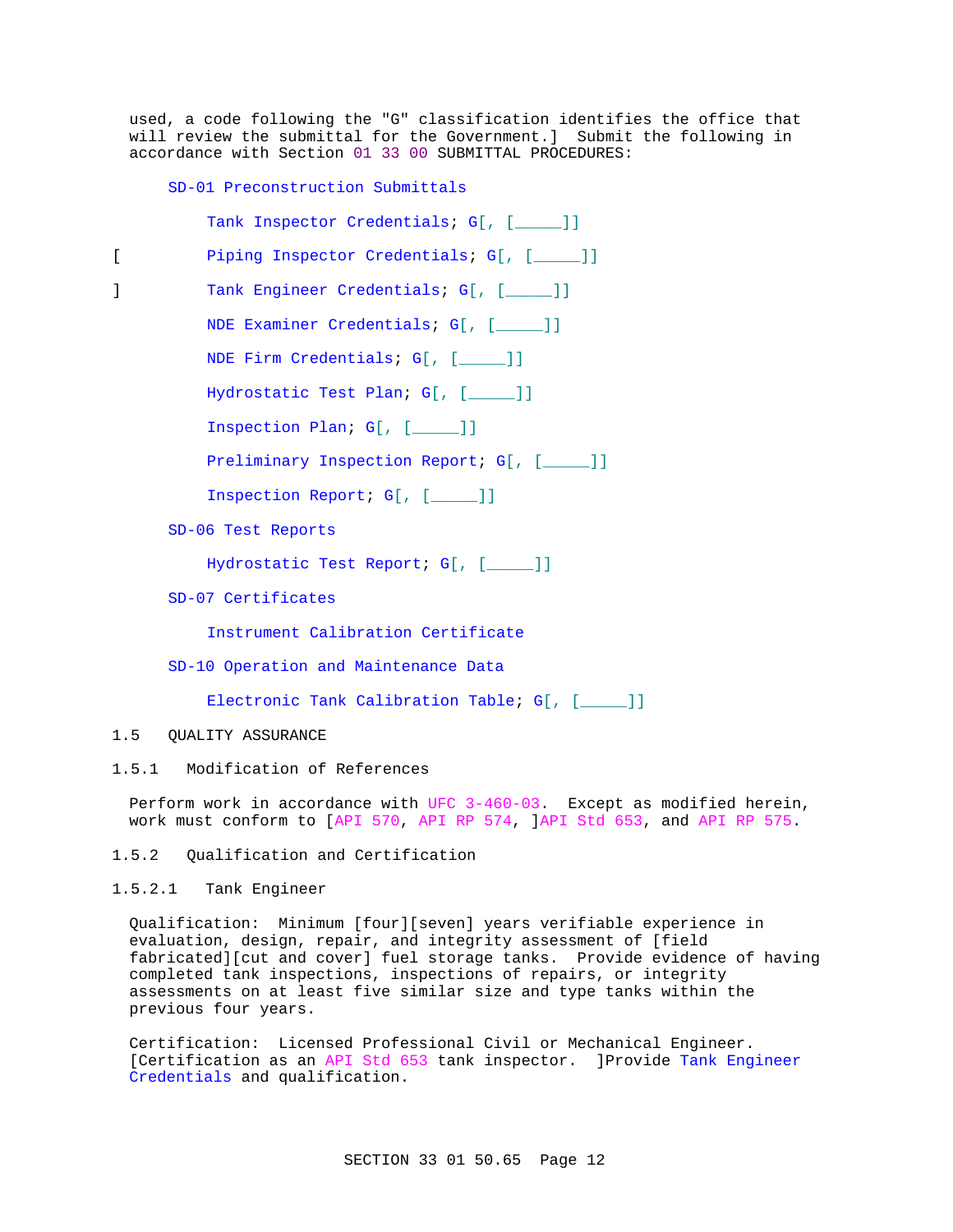used, a code following the "G" classification identifies the office that will review the submittal for the Government.] Submit the following in accordance with Section 01 33 00 SUBMITTAL PROCEDURES:

SD-01 Preconstruction Submittals

| Tank Inspector Credentials; G[, [____]] |  |
|-----------------------------------------|--|
| Piping Inspector Credentials; G[, [ ]]  |  |
| Tank Engineer Credentials; G[, [____]]  |  |
| NDE Examiner Credentials; G[, [ ]]      |  |
| NDE Firm Credentials; G[, [____]]       |  |
| Hydrostatic Test Plan; G[, [____]]      |  |
| Inspection Plan; $G[$ , $[\_\_\_$ ]]    |  |
| Preliminary Inspection Report; G[, [ ]] |  |
| Inspection Report; G[, [____]]          |  |
| SD-06 Test Reports                      |  |
| Hydrostatic Test Report; G[, [ ]]       |  |
| SD-07 Certificates                      |  |
| Instrument Calibration Certificate      |  |
|                                         |  |

SD-10 Operation and Maintenance Data

Electronic Tank Calibration Table; G[, [\_\_\_\_]]

- 1.5 QUALITY ASSURANCE
- 1.5.1 Modification of References

Perform work in accordance with UFC 3-460-03. Except as modified herein, work must conform to [API 570, API RP 574, ]API Std 653, and API RP 575.

1.5.2 Qualification and Certification

1.5.2.1 Tank Engineer

Qualification: Minimum [four][seven] years verifiable experience in evaluation, design, repair, and integrity assessment of [field fabricated][cut and cover] fuel storage tanks. Provide evidence of having completed tank inspections, inspections of repairs, or integrity assessments on at least five similar size and type tanks within the previous four years.

Certification: Licensed Professional Civil or Mechanical Engineer. [Certification as an API Std 653 tank inspector. ]Provide Tank Engineer Credentials and qualification.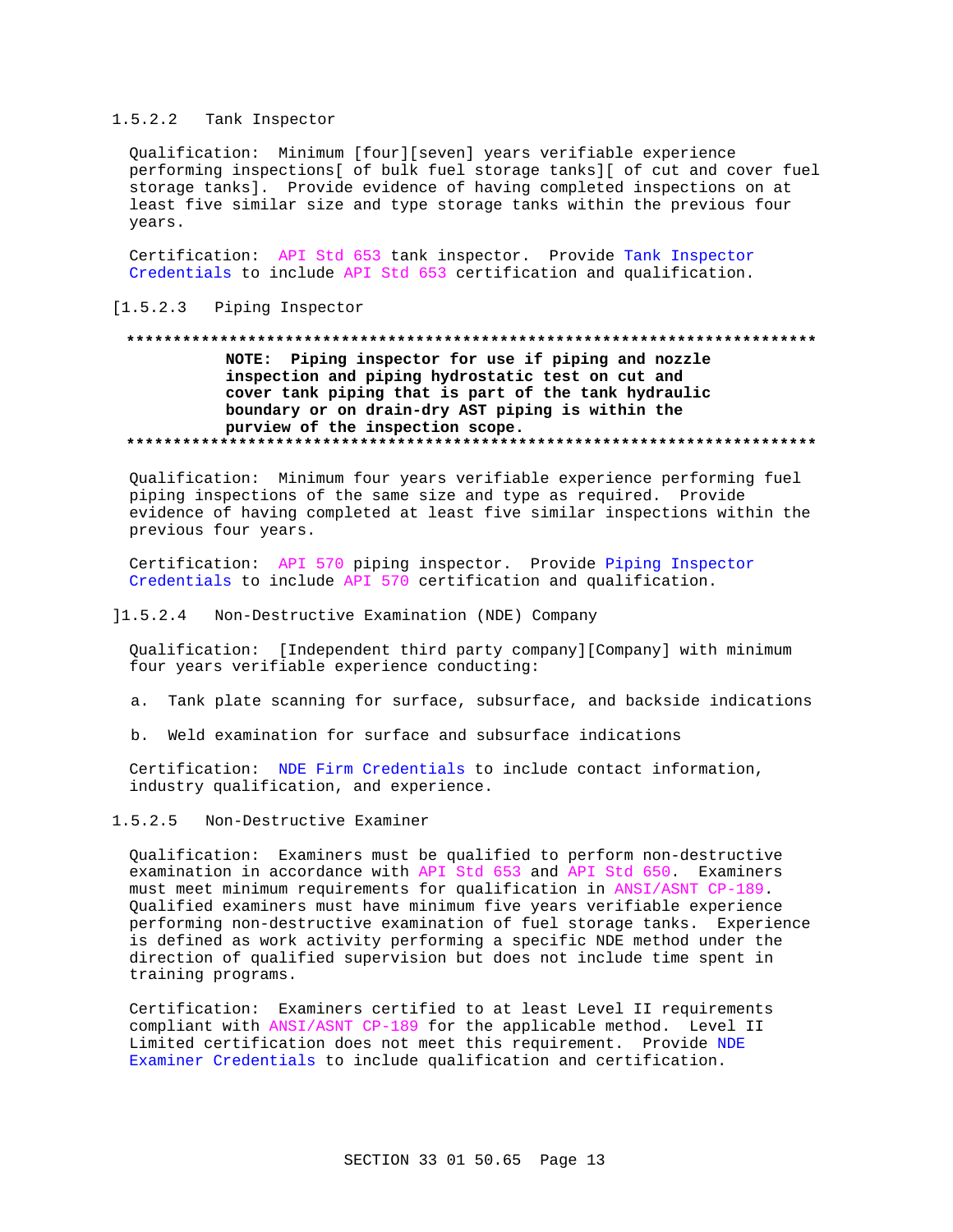## 1.5.2.2 Tank Inspector

Qualification: Minimum [four][seven] years verifiable experience performing inspections[ of bulk fuel storage tanks][ of cut and cover fuel storage tanks]. Provide evidence of having completed inspections on at least five similar size and type storage tanks within the previous four years.

Certification: API Std 653 tank inspector. Provide Tank Inspector Credentials to include API Std 653 certification and qualification.

## [1.5.2.3 Piping Inspector

# NOTE: Piping inspector for use if piping and nozzle inspection and piping hydrostatic test on cut and cover tank piping that is part of the tank hydraulic boundary or on drain-dry AST piping is within the purview of the inspection scope.

Qualification: Minimum four years verifiable experience performing fuel piping inspections of the same size and type as required. Provide evidence of having completed at least five similar inspections within the previous four years.

Certification: API 570 piping inspector. Provide Piping Inspector Credentials to include API 570 certification and qualification.

### ]1.5.2.4 Non-Destructive Examination (NDE) Company

Qualification: [Independent third party company][Company] with minimum four years verifiable experience conducting:

- a. Tank plate scanning for surface, subsurface, and backside indications
- Weld examination for surface and subsurface indications  $h$

Certification: NDE Firm Credentials to include contact information, industry qualification, and experience.

#### $1.5.2.5$ Non-Destructive Examiner

Qualification: Examiners must be qualified to perform non-destructive examination in accordance with API Std 653 and API Std 650. Examiners must meet minimum requirements for qualification in ANSI/ASNT CP-189. Qualified examiners must have minimum five years verifiable experience performing non-destructive examination of fuel storage tanks. Experience is defined as work activity performing a specific NDE method under the direction of qualified supervision but does not include time spent in training programs.

Certification: Examiners certified to at least Level II requirements compliant with ANSI/ASNT CP-189 for the applicable method. Level II Limited certification does not meet this requirement. Provide NDE Examiner Credentials to include qualification and certification.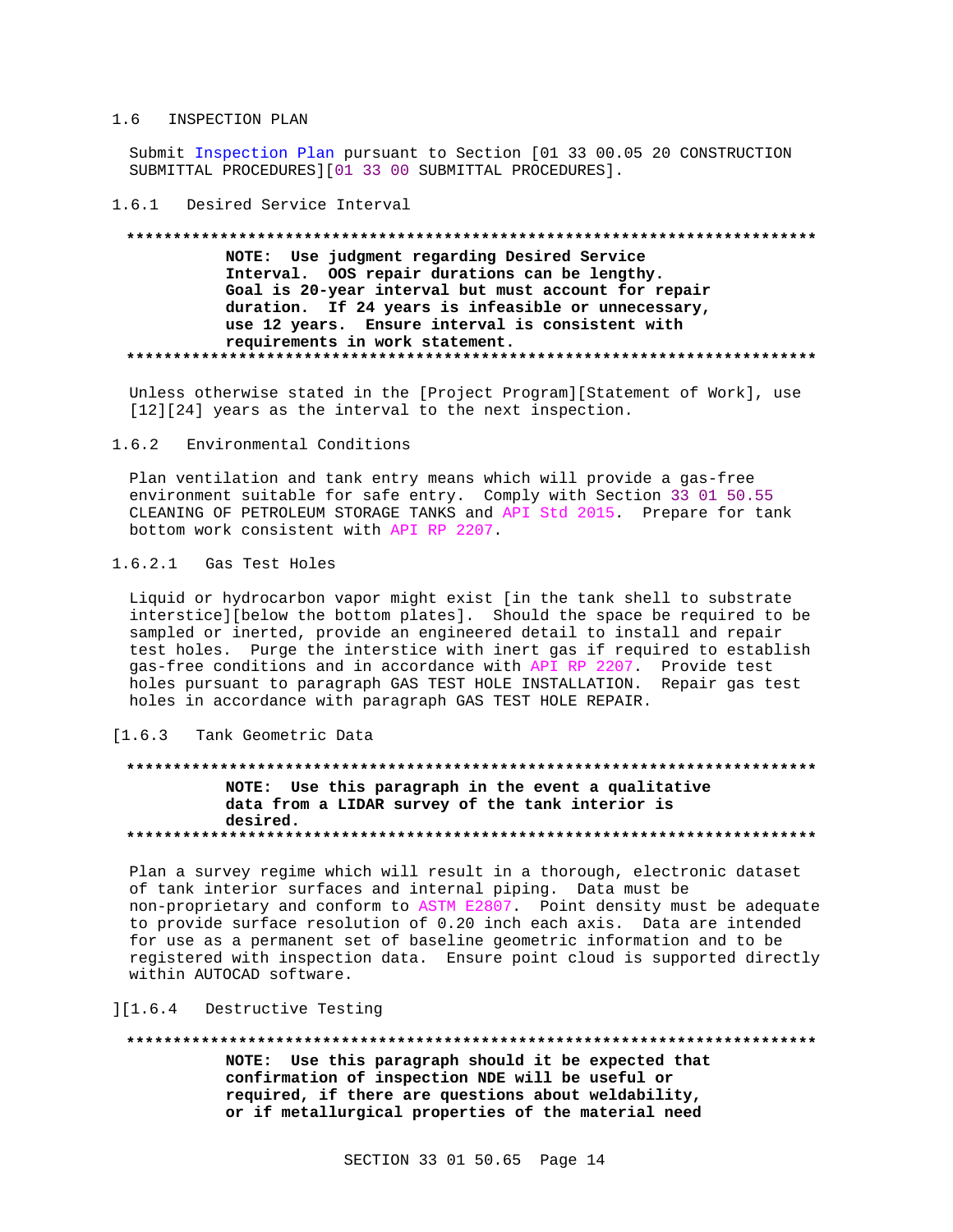### 1.6 INSPECTION PLAN

Submit Inspection Plan pursuant to Section [01 33 00.05 20 CONSTRUCTION SUBMITTAL PROCEDURES][01 33 00 SUBMITTAL PROCEDURES].

### 1.6.1 Desired Service Interval

# NOTE: Use judgment regarding Desired Service Interval. OOS repair durations can be lengthy. Goal is 20-year interval but must account for repair duration. If 24 years is infeasible or unnecessary, use 12 years. Ensure interval is consistent with requirements in work statement.

Unless otherwise stated in the [Project Program][Statement of Work], use  $[12][24]$  years as the interval to the next inspection.

#### $1.6.2$ Environmental Conditions

Plan ventilation and tank entry means which will provide a gas-free environment suitable for safe entry. Comply with Section 33 01 50.55 CLEANING OF PETROLEUM STORAGE TANKS and API Std 2015. Prepare for tank bottom work consistent with API RP 2207.

# 1.6.2.1 Gas Test Holes

Liquid or hydrocarbon vapor might exist [in the tank shell to substrate interstice][below the bottom plates]. Should the space be required to be sampled or inerted, provide an engineered detail to install and repair test holes. Purge the interstice with inert gas if required to establish gas-free conditions and in accordance with API RP 2207. Provide test holes pursuant to paragraph GAS TEST HOLE INSTALLATION. Repair gas test holes in accordance with paragraph GAS TEST HOLE REPAIR.

## [1.6.3 Tank Geometric Data

# NOTE: Use this paragraph in the event a qualitative data from a LIDAR survey of the tank interior is desired.

Plan a survey regime which will result in a thorough, electronic dataset of tank interior surfaces and internal piping. Data must be non-proprietary and conform to ASTM E2807. Point density must be adequate to provide surface resolution of 0.20 inch each axis. Data are intended for use as a permanent set of baseline geometric information and to be registered with inspection data. Ensure point cloud is supported directly within AUTOCAD software.

### ][1.6.4 Destructive Testing

#### 

NOTE: Use this paragraph should it be expected that confirmation of inspection NDE will be useful or required, if there are questions about weldability, or if metallurgical properties of the material need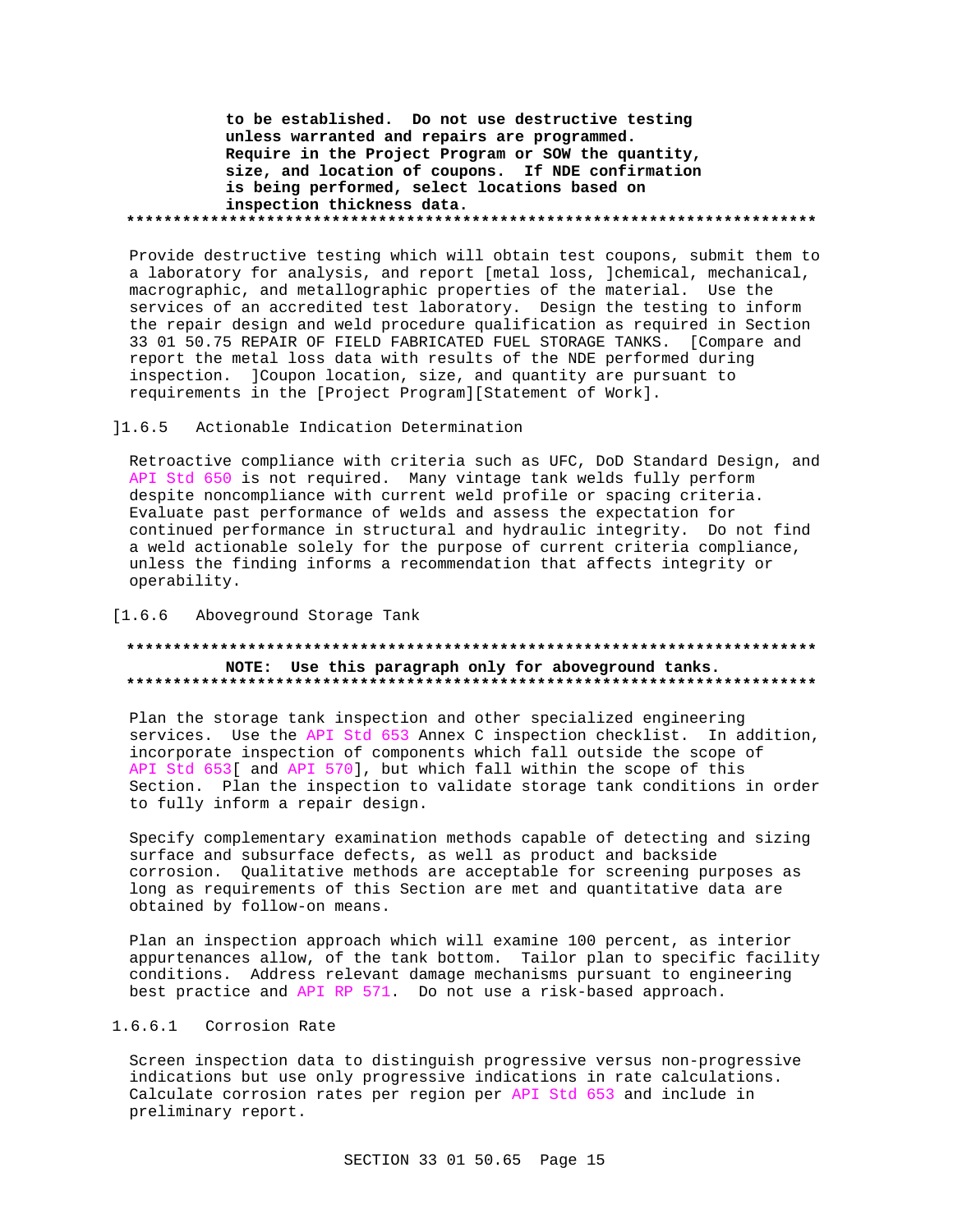to be established. Do not use destructive testing unless warranted and repairs are programmed. Require in the Project Program or SOW the quantity, size, and location of coupons. If NDE confirmation is being performed, select locations based on inspection thickness data. 

Provide destructive testing which will obtain test coupons, submit them to a laboratory for analysis, and report [metal loss, ]chemical, mechanical, macrographic, and metallographic properties of the material. Use the services of an accredited test laboratory. Design the testing to inform the repair design and weld procedure qualification as required in Section 33 01 50.75 REPAIR OF FIELD FABRICATED FUEL STORAGE TANKS. [Compare and report the metal loss data with results of the NDE performed during inspection. ]Coupon location, size, and quantity are pursuant to requirements in the [Project Program][Statement of Work].

#### $11.6.5$ Actionable Indication Determination

Retroactive compliance with criteria such as UFC, DoD Standard Design, and API Std 650 is not required. Many vintage tank welds fully perform despite noncompliance with current weld profile or spacing criteria. Evaluate past performance of welds and assess the expectation for continued performance in structural and hydraulic integrity. Do not find a weld actionable solely for the purpose of current criteria compliance, unless the finding informs a recommendation that affects integrity or operability.

## [1.6.6 Aboveground Storage Tank

## NOTE: Use this paragraph only for aboveground tanks.

Plan the storage tank inspection and other specialized engineering services. Use the API Std 653 Annex C inspection checklist. In addition, incorporate inspection of components which fall outside the scope of API Std 653[ and API 570], but which fall within the scope of this Section. Plan the inspection to validate storage tank conditions in order to fully inform a repair design.

Specify complementary examination methods capable of detecting and sizing surface and subsurface defects, as well as product and backside corrosion. Qualitative methods are acceptable for screening purposes as long as requirements of this Section are met and quantitative data are obtained by follow-on means.

Plan an inspection approach which will examine 100 percent, as interior appurtenances allow, of the tank bottom. Tailor plan to specific facility conditions. Address relevant damage mechanisms pursuant to engineering best practice and API RP 571. Do not use a risk-based approach.

## 1.6.6.1 Corrosion Rate

Screen inspection data to distinguish progressive versus non-progressive indications but use only progressive indications in rate calculations. Calculate corrosion rates per region per API Std 653 and include in preliminary report.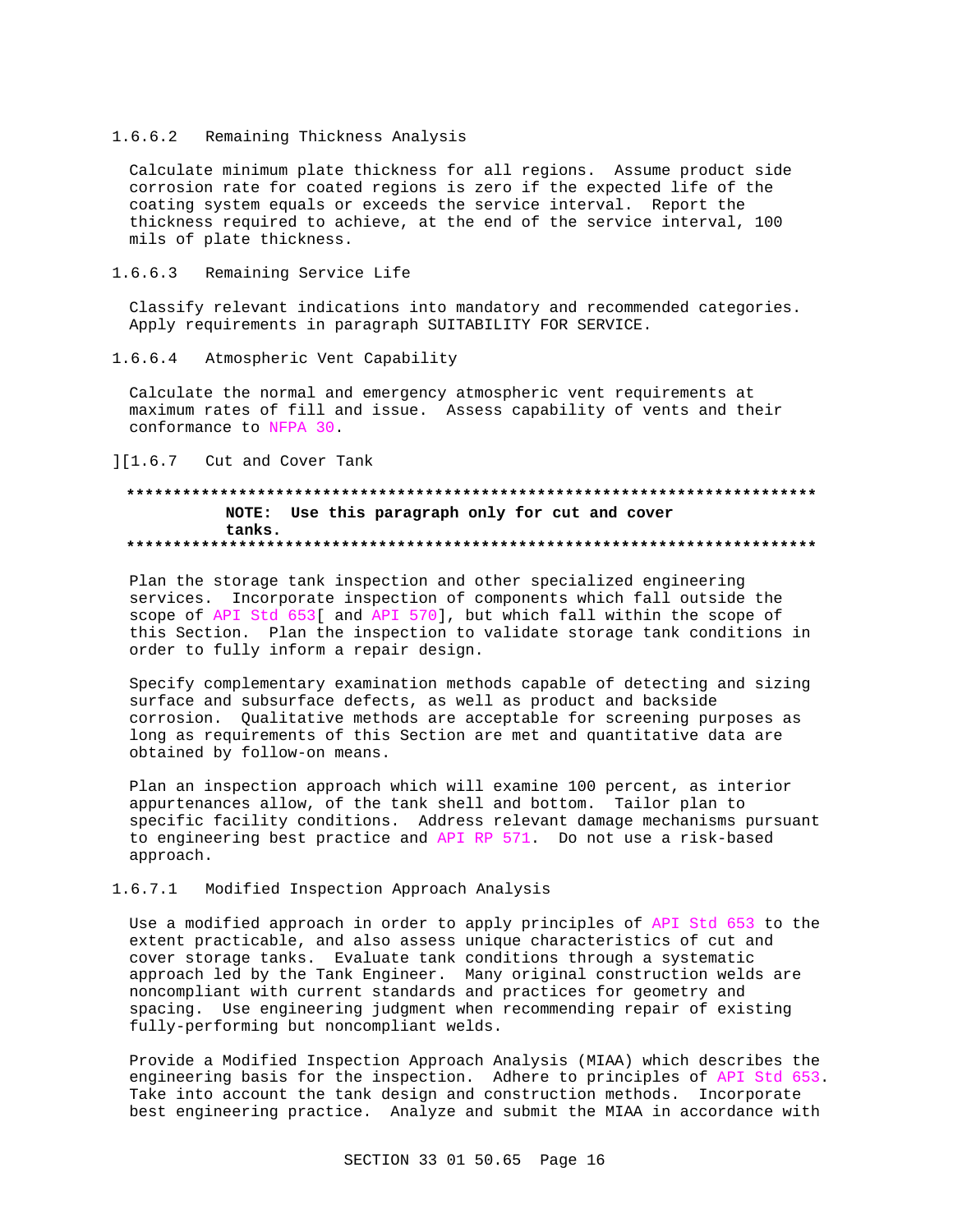## 1.6.6.2 Remaining Thickness Analysis

Calculate minimum plate thickness for all regions. Assume product side corrosion rate for coated regions is zero if the expected life of the coating system equals or exceeds the service interval. Report the thickness required to achieve, at the end of the service interval, 100 mils of plate thickness.

#### $1.6.6.3$ Remaining Service Life

Classify relevant indications into mandatory and recommended categories. Apply requirements in paragraph SUITABILITY FOR SERVICE.

#### $1.6.6.4$ Atmospheric Vent Capability

Calculate the normal and emergency atmospheric vent requirements at maximum rates of fill and issue. Assess capability of vents and their conformance to NFPA 30.

][1.6.7 Cut and Cover Tank

## NOTE: Use this paragraph only for cut and cover tanks.

Plan the storage tank inspection and other specialized engineering services. Incorporate inspection of components which fall outside the scope of API Std 653[ and API 570], but which fall within the scope of this Section. Plan the inspection to validate storage tank conditions in order to fully inform a repair design.

Specify complementary examination methods capable of detecting and sizing surface and subsurface defects, as well as product and backside corrosion. Qualitative methods are acceptable for screening purposes as long as requirements of this Section are met and quantitative data are obtained by follow-on means.

Plan an inspection approach which will examine 100 percent, as interior appurtenances allow, of the tank shell and bottom. Tailor plan to specific facility conditions. Address relevant damage mechanisms pursuant to engineering best practice and API RP 571. Do not use a risk-based approach.

#### $1.6.7.1$ Modified Inspection Approach Analysis

Use a modified approach in order to apply principles of API Std 653 to the extent practicable, and also assess unique characteristics of cut and cover storage tanks. Evaluate tank conditions through a systematic approach led by the Tank Engineer. Many original construction welds are noncompliant with current standards and practices for geometry and spacing. Use engineering judgment when recommending repair of existing fully-performing but noncompliant welds.

Provide a Modified Inspection Approach Analysis (MIAA) which describes the engineering basis for the inspection. Adhere to principles of API Std 653. Take into account the tank design and construction methods. Incorporate best engineering practice. Analyze and submit the MIAA in accordance with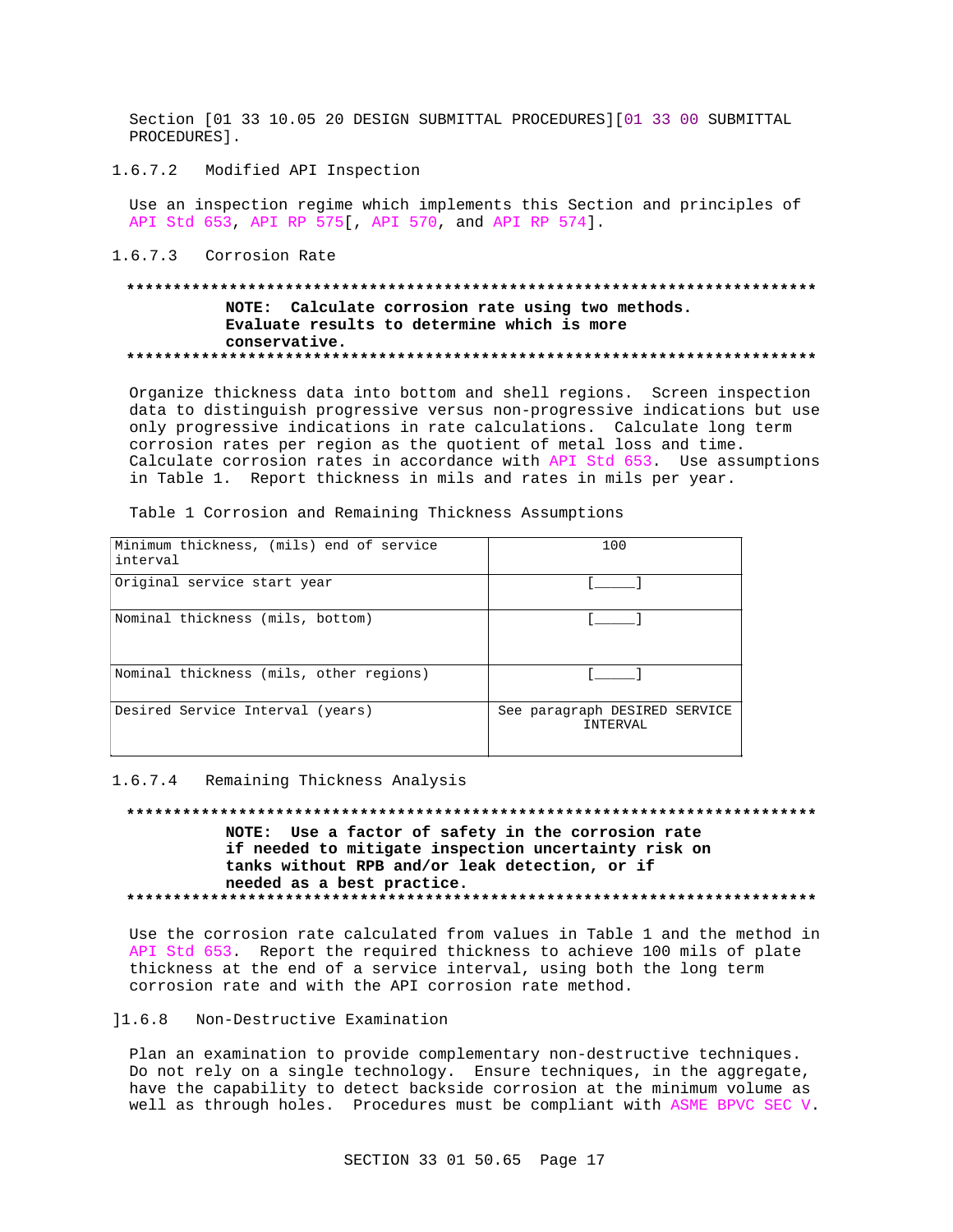Section [01 33 10.05 20 DESIGN SUBMITTAL PROCEDURES][01 33 00 SUBMITTAL PROCEDURES 1.

 $1.6.7.2$ Modified API Inspection

Use an inspection regime which implements this Section and principles of API Std 653, API RP 575 , API 570, and API RP 574].

1.6.7.3 Corrosion Rate

## NOTE: Calculate corrosion rate using two methods. Evaluate results to determine which is more conservative.

Organize thickness data into bottom and shell regions. Screen inspection data to distinguish progressive versus non-progressive indications but use only progressive indications in rate calculations. Calculate long term corrosion rates per region as the quotient of metal loss and time. Calculate corrosion rates in accordance with API Std 653. Use assumptions in Table 1. Report thickness in mils and rates in mils per year.

| Minimum thickness, (mils) end of service<br>interval | 100                                       |
|------------------------------------------------------|-------------------------------------------|
| Original service start year                          |                                           |
| Nominal thickness (mils, bottom)                     |                                           |
| Nominal thickness (mils, other regions)              |                                           |
| Desired Service Interval (years)                     | See paragraph DESIRED SERVICE<br>INTERVAL |

Table 1 Corrosion and Remaining Thickness Assumptions

#### 1.6.7.4 Remaining Thickness Analysis

NOTE: Use a factor of safety in the corrosion rate if needed to mitigate inspection uncertainty risk on tanks without RPB and/or leak detection, or if needed as a best practice. 

Use the corrosion rate calculated from values in Table 1 and the method in API Std 653. Report the required thickness to achieve 100 mils of plate thickness at the end of a service interval, using both the long term corrosion rate and with the API corrosion rate method.

# 11.6.8 Non-Destructive Examination

Plan an examination to provide complementary non-destructive techniques. Do not rely on a single technology. Ensure techniques, in the aggregate, have the capability to detect backside corrosion at the minimum volume as well as through holes. Procedures must be compliant with ASME BPVC SEC V.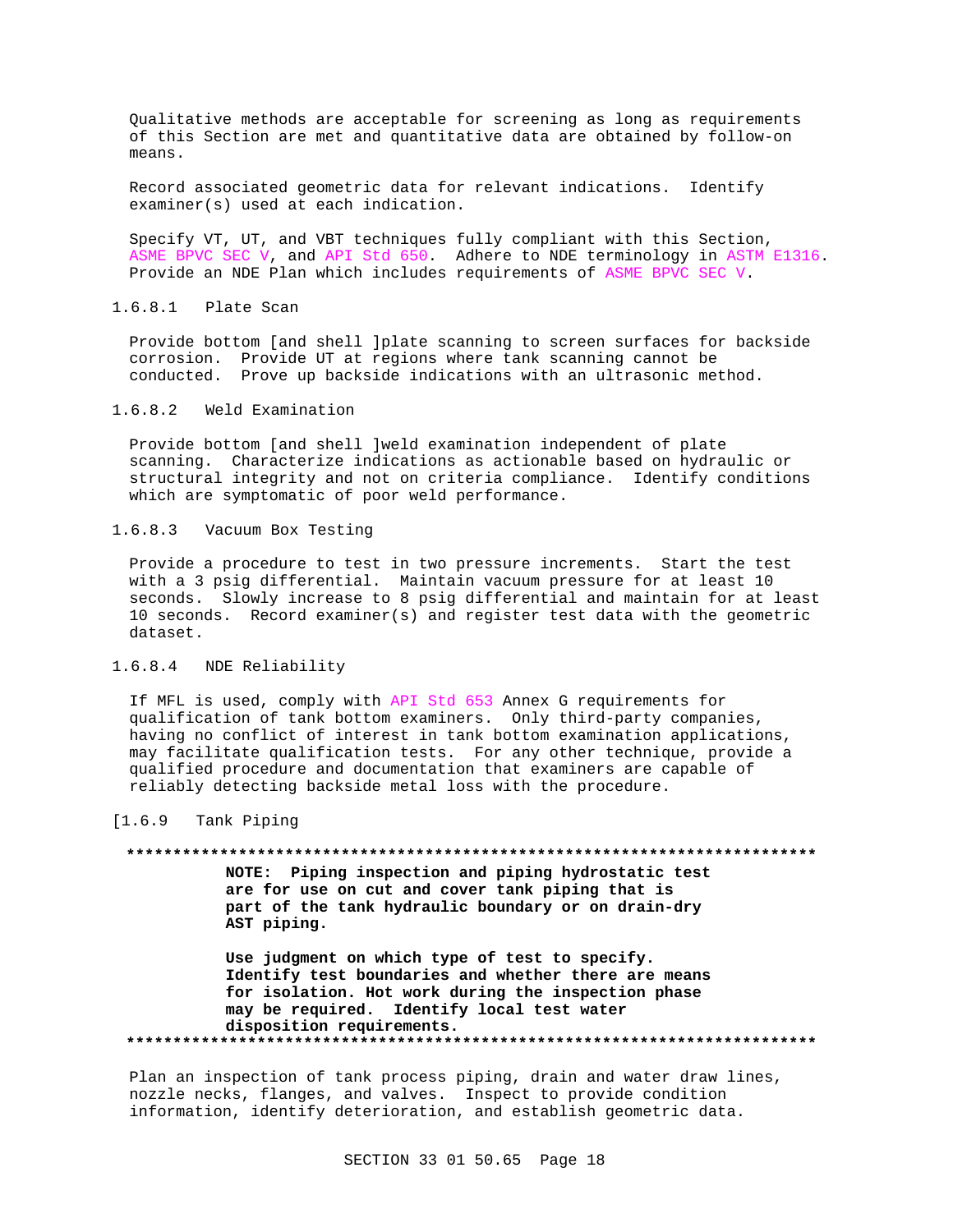Oualitative methods are acceptable for screening as long as requirements of this Section are met and quantitative data are obtained by follow-on means.

Record associated geometric data for relevant indications. Identify examiner(s) used at each indication.

Specify VT, UT, and VBT techniques fully compliant with this Section, ASME BPVC SEC V, and API Std 650. Adhere to NDE terminology in ASTM E1316. Provide an NDE Plan which includes requirements of ASME BPVC SEC V.

## 1.6.8.1 Plate Scan

Provide bottom [and shell ]plate scanning to screen surfaces for backside corrosion. Provide UT at regions where tank scanning cannot be conducted. Prove up backside indications with an ultrasonic method.

#### $1.6.8.2$ Weld Examination

Provide bottom [and shell ]weld examination independent of plate scanning. Characterize indications as actionable based on hydraulic or structural integrity and not on criteria compliance. Identify conditions which are symptomatic of poor weld performance.

1.6.8.3 Vacuum Box Testing

Provide a procedure to test in two pressure increments. Start the test with a 3 psig differential. Maintain vacuum pressure for at least 10 seconds. Slowly increase to 8 psig differential and maintain for at least 10 seconds. Record examiner(s) and register test data with the geometric dataset.

# 1.6.8.4 NDE Reliability

If MFL is used, comply with API Std 653 Annex G requirements for qualification of tank bottom examiners. Only third-party companies, having no conflict of interest in tank bottom examination applications, may facilitate qualification tests. For any other technique, provide a qualified procedure and documentation that examiners are capable of reliably detecting backside metal loss with the procedure.

#### $[1.6.9]$ Tank Piping

#### 

NOTE: Piping inspection and piping hydrostatic test are for use on cut and cover tank piping that is part of the tank hydraulic boundary or on drain-dry AST piping.

Use judgment on which type of test to specify. Identify test boundaries and whether there are means for isolation. Hot work during the inspection phase may be required. Identify local test water disposition requirements. 

Plan an inspection of tank process piping, drain and water draw lines, nozzle necks, flanges, and valves. Inspect to provide condition information, identify deterioration, and establish geometric data.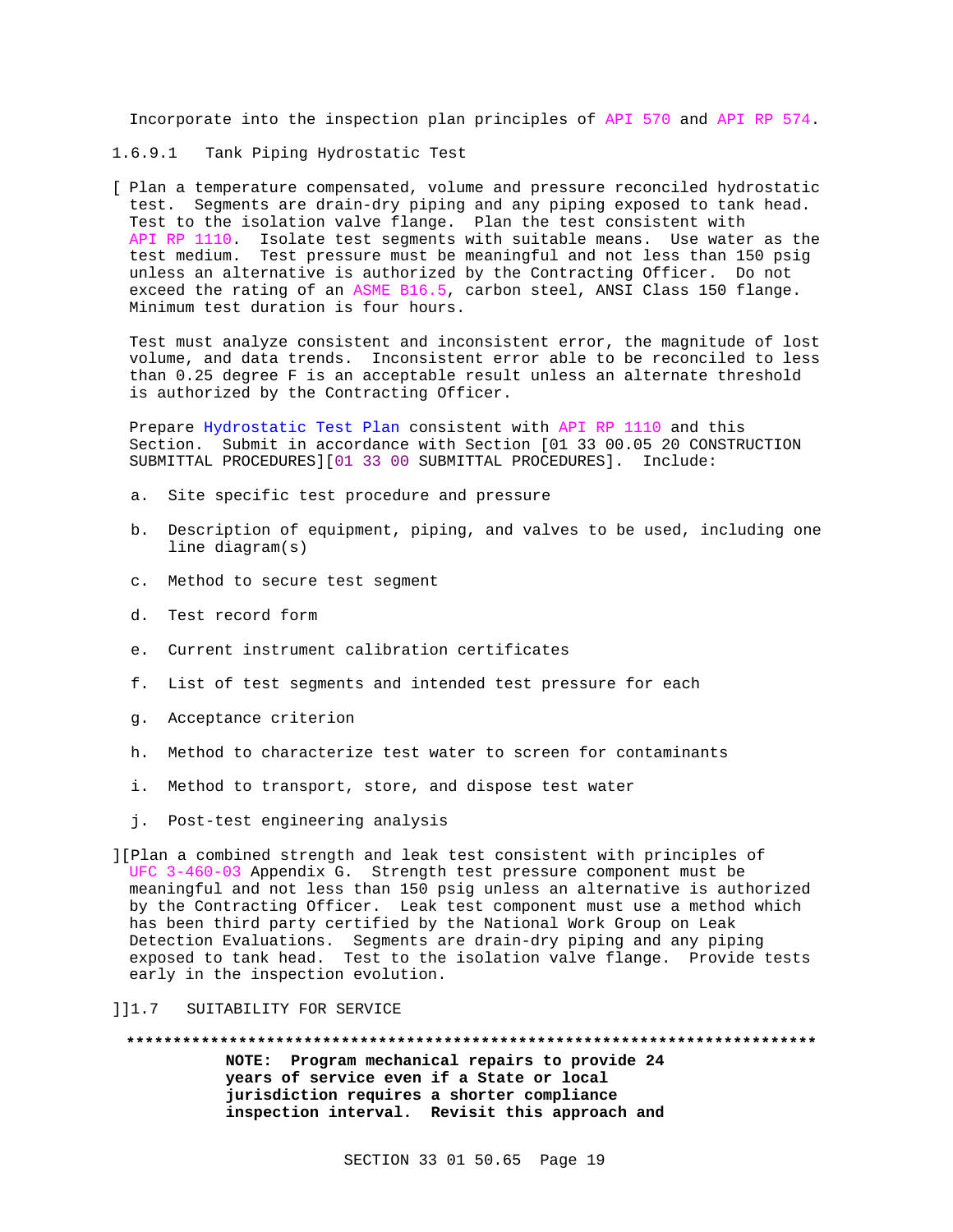Incorporate into the inspection plan principles of API 570 and API RP 574.

- 1.6.9.1 Tank Piping Hydrostatic Test
- [ Plan a temperature compensated, volume and pressure reconciled hydrostatic test. Segments are drain-dry piping and any piping exposed to tank head. Test to the isolation valve flange. Plan the test consistent with API RP 1110. Isolate test segments with suitable means. Use water as the test medium. Test pressure must be meaningful and not less than 150 psig unless an alternative is authorized by the Contracting Officer. Do not exceed the rating of an ASME B16.5, carbon steel, ANSI Class 150 flange. Minimum test duration is four hours.

Test must analyze consistent and inconsistent error, the magnitude of lost volume, and data trends. Inconsistent error able to be reconciled to less than 0.25 degree F is an acceptable result unless an alternate threshold is authorized by the Contracting Officer.

Prepare Hydrostatic Test Plan consistent with API RP 1110 and this Section. Submit in accordance with Section [01 33 00.05 20 CONSTRUCTION SUBMITTAL PROCEDURES][01 33 00 SUBMITTAL PROCEDURES]. Include:

- a. Site specific test procedure and pressure
- b. Description of equipment, piping, and valves to be used, including one line diagram(s)
- c. Method to secure test segment
- d. Test record form
- e. Current instrument calibration certificates
- f. List of test segments and intended test pressure for each
- g. Acceptance criterion
- h. Method to characterize test water to screen for contaminants
- i. Method to transport, store, and dispose test water
- j. Post-test engineering analysis

][Plan a combined strength and leak test consistent with principles of UFC 3-460-03 Appendix G. Strength test pressure component must be meaningful and not less than 150 psig unless an alternative is authorized by the Contracting Officer. Leak test component must use a method which has been third party certified by the National Work Group on Leak Detection Evaluations. Segments are drain-dry piping and any piping exposed to tank head. Test to the isolation valve flange. Provide tests early in the inspection evolution.

]]1.7 SUITABILITY FOR SERVICE

**\*\*\*\*\*\*\*\*\*\*\*\*\*\*\*\*\*\*\*\*\*\*\*\*\*\*\*\*\*\*\*\*\*\*\*\*\*\*\*\*\*\*\*\*\*\*\*\*\*\*\*\*\*\*\*\*\*\*\*\*\*\*\*\*\*\*\*\*\*\*\*\*\*\* NOTE: Program mechanical repairs to provide 24 years of service even if a State or local jurisdiction requires a shorter compliance**

**inspection interval. Revisit this approach and**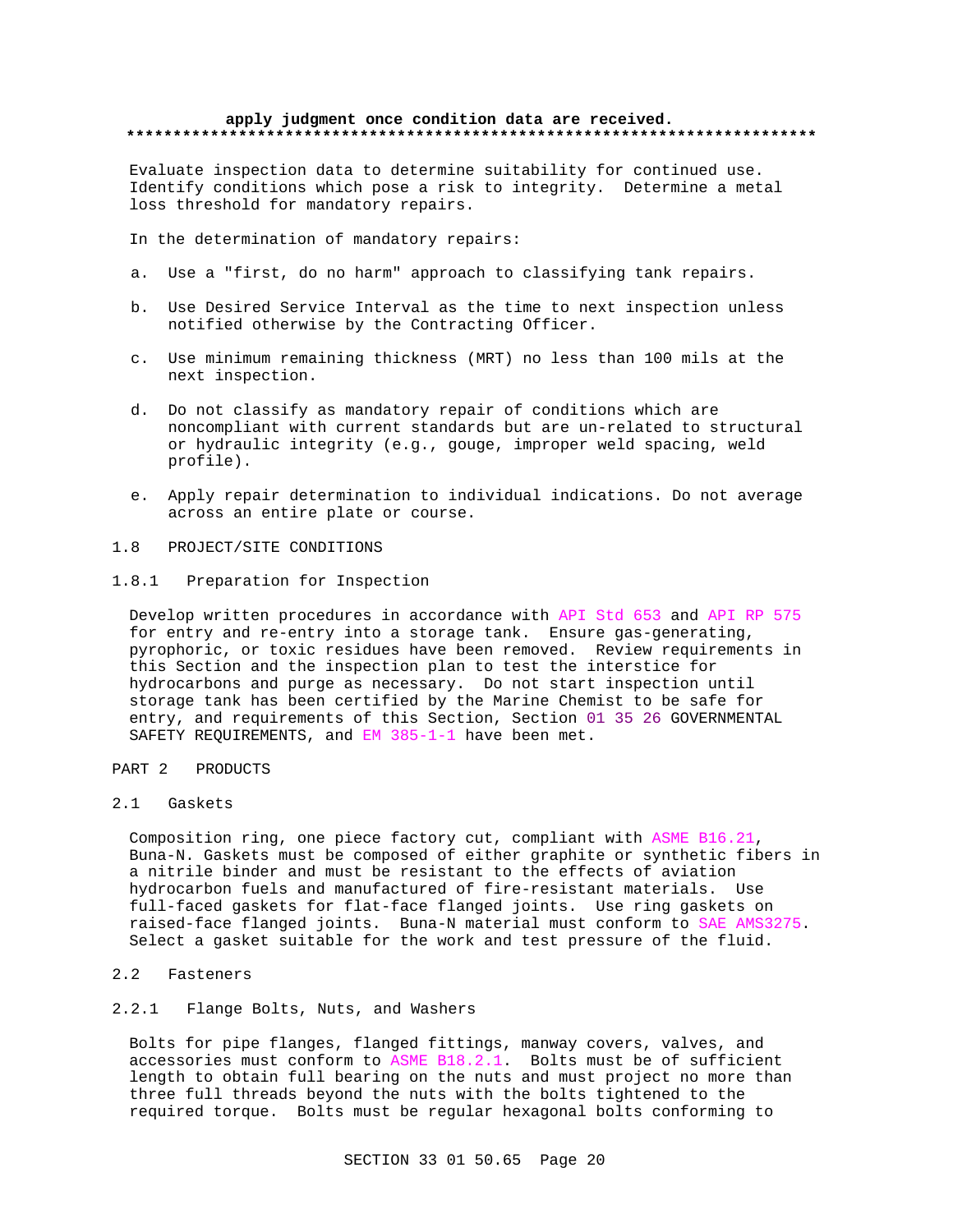## **apply judgment once condition data are received. \*\*\*\*\*\*\*\*\*\*\*\*\*\*\*\*\*\*\*\*\*\*\*\*\*\*\*\*\*\*\*\*\*\*\*\*\*\*\*\*\*\*\*\*\*\*\*\*\*\*\*\*\*\*\*\*\*\*\*\*\*\*\*\*\*\*\*\*\*\*\*\*\*\***

Evaluate inspection data to determine suitability for continued use. Identify conditions which pose a risk to integrity. Determine a metal loss threshold for mandatory repairs.

In the determination of mandatory repairs:

- a. Use a "first, do no harm" approach to classifying tank repairs.
- b. Use Desired Service Interval as the time to next inspection unless notified otherwise by the Contracting Officer.
- c. Use minimum remaining thickness (MRT) no less than 100 mils at the next inspection.
- d. Do not classify as mandatory repair of conditions which are noncompliant with current standards but are un-related to structural or hydraulic integrity (e.g., gouge, improper weld spacing, weld profile).
- e. Apply repair determination to individual indications. Do not average across an entire plate or course.
- 1.8 PROJECT/SITE CONDITIONS
- 1.8.1 Preparation for Inspection

Develop written procedures in accordance with API Std 653 and API RP 575 for entry and re-entry into a storage tank. Ensure gas-generating, pyrophoric, or toxic residues have been removed. Review requirements in this Section and the inspection plan to test the interstice for hydrocarbons and purge as necessary. Do not start inspection until storage tank has been certified by the Marine Chemist to be safe for entry, and requirements of this Section, Section 01 35 26 GOVERNMENTAL SAFETY REQUIREMENTS, and EM 385-1-1 have been met.

# PART 2 PRODUCTS

2.1 Gaskets

Composition ring, one piece factory cut, compliant with ASME B16.21, Buna-N. Gaskets must be composed of either graphite or synthetic fibers in a nitrile binder and must be resistant to the effects of aviation hydrocarbon fuels and manufactured of fire-resistant materials. Use full-faced gaskets for flat-face flanged joints. Use ring gaskets on raised-face flanged joints. Buna-N material must conform to SAE AMS3275. Select a gasket suitable for the work and test pressure of the fluid.

- 2.2 Fasteners
- 2.2.1 Flange Bolts, Nuts, and Washers

Bolts for pipe flanges, flanged fittings, manway covers, valves, and accessories must conform to ASME B18.2.1. Bolts must be of sufficient length to obtain full bearing on the nuts and must project no more than three full threads beyond the nuts with the bolts tightened to the required torque. Bolts must be regular hexagonal bolts conforming to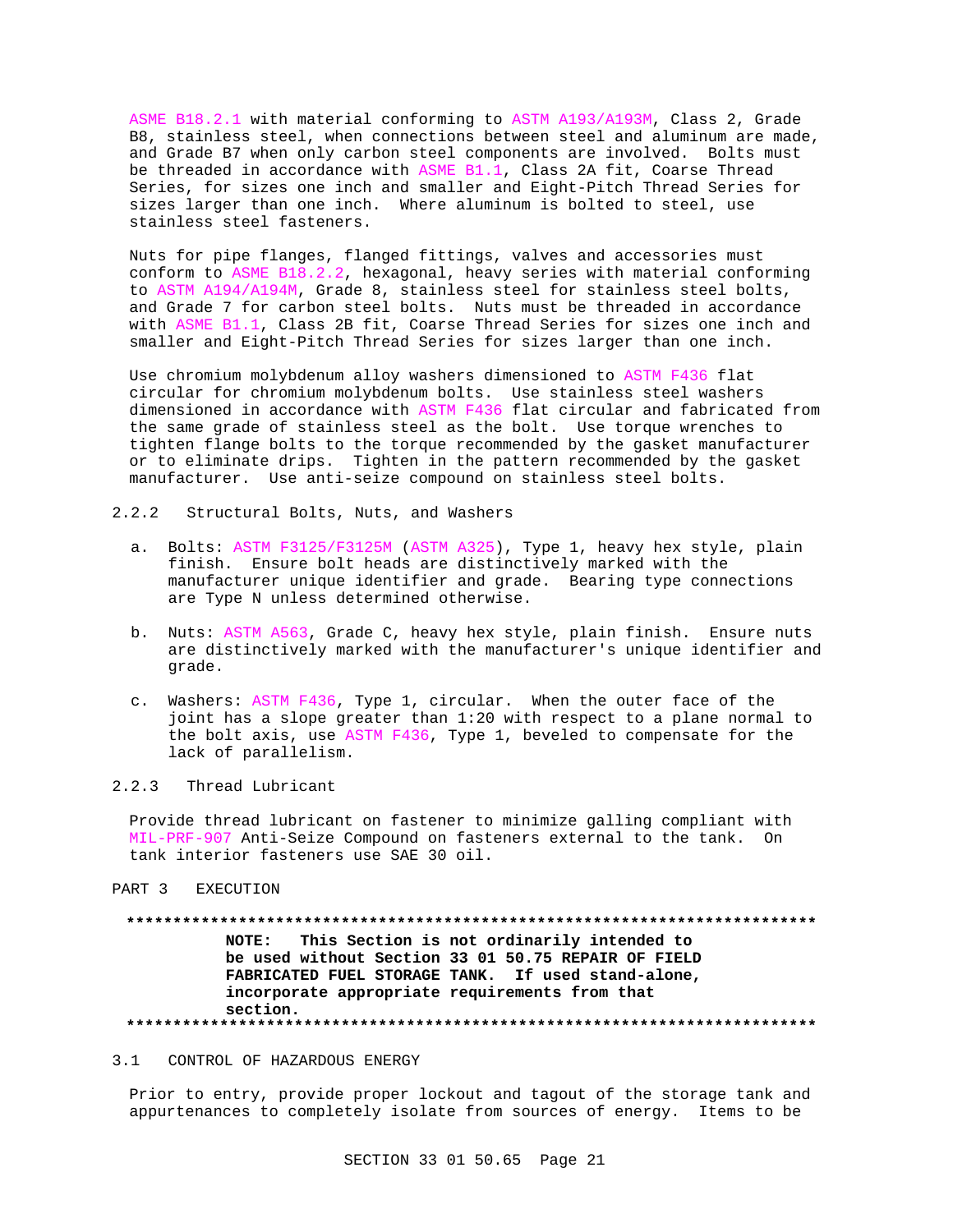ASME B18.2.1 with material conforming to ASTM A193/A193M, Class 2, Grade B8, stainless steel, when connections between steel and aluminum are made, and Grade B7 when only carbon steel components are involved. Bolts must be threaded in accordance with ASME B1.1, Class 2A fit, Coarse Thread Series, for sizes one inch and smaller and Eight-Pitch Thread Series for sizes larger than one inch. Where aluminum is bolted to steel, use stainless steel fasteners.

Nuts for pipe flanges, flanged fittings, valves and accessories must conform to ASME B18.2.2, hexagonal, heavy series with material conforming to ASTM A194/A194M, Grade 8, stainless steel for stainless steel bolts, and Grade 7 for carbon steel bolts. Nuts must be threaded in accordance with ASME B1.1, Class 2B fit, Coarse Thread Series for sizes one inch and smaller and Eight-Pitch Thread Series for sizes larger than one inch.

Use chromium molybdenum alloy washers dimensioned to ASTM F436 flat circular for chromium molybdenum bolts. Use stainless steel washers dimensioned in accordance with ASTM F436 flat circular and fabricated from the same grade of stainless steel as the bolt. Use torque wrenches to tighten flange bolts to the torque recommended by the gasket manufacturer or to eliminate drips. Tighten in the pattern recommended by the gasket manufacturer. Use anti-seize compound on stainless steel bolts.

- 2.2.2 Structural Bolts, Nuts, and Washers
	- a. Bolts: ASTM F3125/F3125M (ASTM A325), Type 1, heavy hex style, plain finish. Ensure bolt heads are distinctively marked with the manufacturer unique identifier and grade. Bearing type connections are Type N unless determined otherwise.
	- b. Nuts: ASTM A563, Grade C, heavy hex style, plain finish. Ensure nuts are distinctively marked with the manufacturer's unique identifier and grade.
	- c. Washers: ASTM F436, Type 1, circular. When the outer face of the joint has a slope greater than 1:20 with respect to a plane normal to the bolt axis, use ASTM F436, Type 1, beveled to compensate for the lack of parallelism.

# 2.2.3 Thread Lubricant

Provide thread lubricant on fastener to minimize galling compliant with MIL-PRF-907 Anti-Seize Compound on fasteners external to the tank. On tank interior fasteners use SAE 30 oil.

PART 3 EXECUTION

# **\*\*\*\*\*\*\*\*\*\*\*\*\*\*\*\*\*\*\*\*\*\*\*\*\*\*\*\*\*\*\*\*\*\*\*\*\*\*\*\*\*\*\*\*\*\*\*\*\*\*\*\*\*\*\*\*\*\*\*\*\*\*\*\*\*\*\*\*\*\*\*\*\*\* NOTE: This Section is not ordinarily intended to be used without Section 33 01 50.75 REPAIR OF FIELD FABRICATED FUEL STORAGE TANK. If used stand-alone, incorporate appropriate requirements from that section. \*\*\*\*\*\*\*\*\*\*\*\*\*\*\*\*\*\*\*\*\*\*\*\*\*\*\*\*\*\*\*\*\*\*\*\*\*\*\*\*\*\*\*\*\*\*\*\*\*\*\*\*\*\*\*\*\*\*\*\*\*\*\*\*\*\*\*\*\*\*\*\*\*\***

### 3.1 CONTROL OF HAZARDOUS ENERGY

Prior to entry, provide proper lockout and tagout of the storage tank and appurtenances to completely isolate from sources of energy. Items to be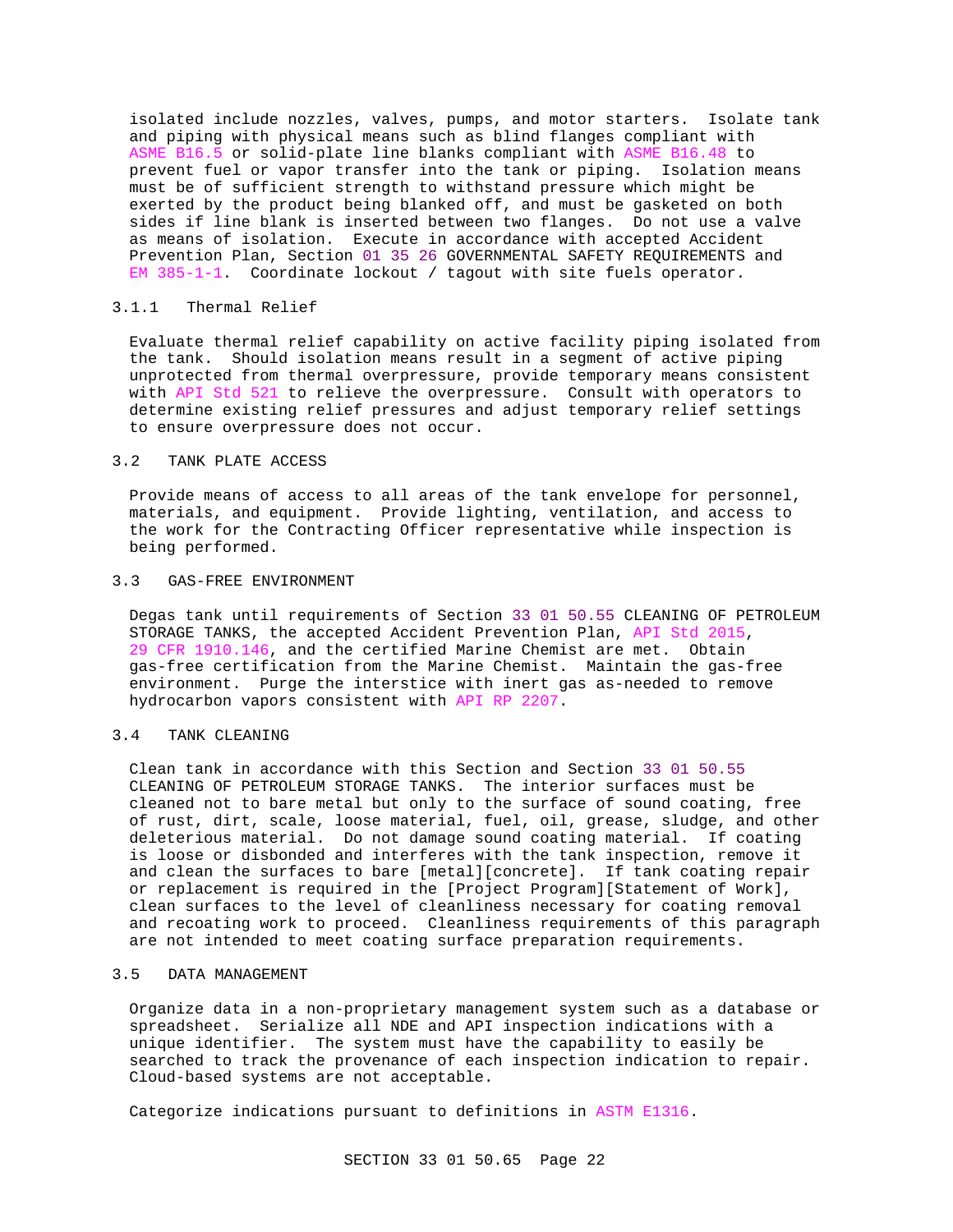isolated include nozzles, valves, pumps, and motor starters. Isolate tank and piping with physical means such as blind flanges compliant with ASME B16.5 or solid-plate line blanks compliant with ASME B16.48 to prevent fuel or vapor transfer into the tank or piping. Isolation means must be of sufficient strength to withstand pressure which might be exerted by the product being blanked off, and must be gasketed on both sides if line blank is inserted between two flanges. Do not use a valve as means of isolation. Execute in accordance with accepted Accident Prevention Plan, Section 01 35 26 GOVERNMENTAL SAFETY REQUIREMENTS and EM  $385-1-1$ . Coordinate lockout / tagout with site fuels operator.

## 3.1.1 Thermal Relief

Evaluate thermal relief capability on active facility piping isolated from the tank. Should isolation means result in a segment of active piping unprotected from thermal overpressure, provide temporary means consistent with API Std 521 to relieve the overpressure. Consult with operators to determine existing relief pressures and adjust temporary relief settings to ensure overpressure does not occur.

## 3.2 TANK PLATE ACCESS

Provide means of access to all areas of the tank envelope for personnel, materials, and equipment. Provide lighting, ventilation, and access to the work for the Contracting Officer representative while inspection is being performed.

## 3.3 GAS-FREE ENVIRONMENT

Degas tank until requirements of Section 33 01 50.55 CLEANING OF PETROLEUM STORAGE TANKS, the accepted Accident Prevention Plan, API Std 2015, 29 CFR 1910.146, and the certified Marine Chemist are met. Obtain gas-free certification from the Marine Chemist. Maintain the gas-free environment. Purge the interstice with inert gas as-needed to remove hydrocarbon vapors consistent with API RP 2207.

### 3.4 TANK CLEANING

Clean tank in accordance with this Section and Section 33 01 50.55 CLEANING OF PETROLEUM STORAGE TANKS. The interior surfaces must be cleaned not to bare metal but only to the surface of sound coating, free of rust, dirt, scale, loose material, fuel, oil, grease, sludge, and other deleterious material. Do not damage sound coating material. If coating is loose or disbonded and interferes with the tank inspection, remove it and clean the surfaces to bare [metal][concrete]. If tank coating repair or replacement is required in the [Project Program][Statement of Work], clean surfaces to the level of cleanliness necessary for coating removal and recoating work to proceed. Cleanliness requirements of this paragraph are not intended to meet coating surface preparation requirements.

## 3.5 DATA MANAGEMENT

Organize data in a non-proprietary management system such as a database or spreadsheet. Serialize all NDE and API inspection indications with a unique identifier. The system must have the capability to easily be searched to track the provenance of each inspection indication to repair. Cloud-based systems are not acceptable.

Categorize indications pursuant to definitions in ASTM E1316.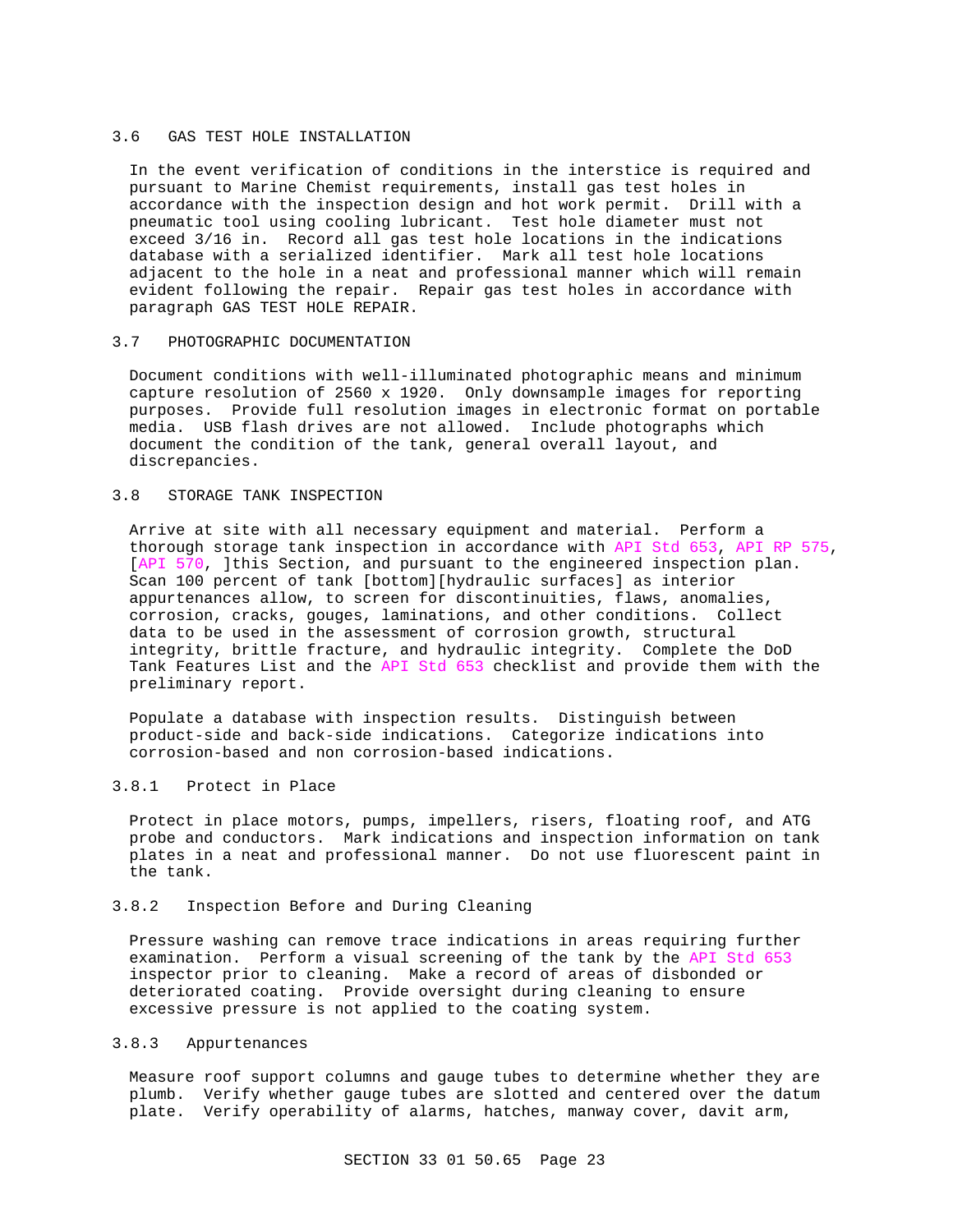### 3.6 GAS TEST HOLE INSTALLATION

In the event verification of conditions in the interstice is required and pursuant to Marine Chemist requirements, install gas test holes in accordance with the inspection design and hot work permit. Drill with a pneumatic tool using cooling lubricant. Test hole diameter must not exceed 3/16 in. Record all gas test hole locations in the indications database with a serialized identifier. Mark all test hole locations adjacent to the hole in a neat and professional manner which will remain evident following the repair. Repair gas test holes in accordance with paragraph GAS TEST HOLE REPAIR.

### 3.7 PHOTOGRAPHIC DOCUMENTATION

Document conditions with well-illuminated photographic means and minimum capture resolution of 2560 x 1920. Only downsample images for reporting purposes. Provide full resolution images in electronic format on portable media. USB flash drives are not allowed. Include photographs which document the condition of the tank, general overall layout, and discrepancies.

## 3.8 STORAGE TANK INSPECTION

Arrive at site with all necessary equipment and material. Perform a thorough storage tank inspection in accordance with API Std 653, API RP 575, [API 570, ]this Section, and pursuant to the engineered inspection plan. Scan 100 percent of tank [bottom][hydraulic surfaces] as interior appurtenances allow, to screen for discontinuities, flaws, anomalies, corrosion, cracks, gouges, laminations, and other conditions. Collect data to be used in the assessment of corrosion growth, structural integrity, brittle fracture, and hydraulic integrity. Complete the DoD Tank Features List and the API Std 653 checklist and provide them with the preliminary report.

Populate a database with inspection results. Distinguish between product-side and back-side indications. Categorize indications into corrosion-based and non corrosion-based indications.

# 3.8.1 Protect in Place

Protect in place motors, pumps, impellers, risers, floating roof, and ATG probe and conductors. Mark indications and inspection information on tank plates in a neat and professional manner. Do not use fluorescent paint in the tank.

### 3.8.2 Inspection Before and During Cleaning

Pressure washing can remove trace indications in areas requiring further examination. Perform a visual screening of the tank by the API Std 653 inspector prior to cleaning. Make a record of areas of disbonded or deteriorated coating. Provide oversight during cleaning to ensure excessive pressure is not applied to the coating system.

## 3.8.3 Appurtenances

Measure roof support columns and gauge tubes to determine whether they are plumb. Verify whether gauge tubes are slotted and centered over the datum plate. Verify operability of alarms, hatches, manway cover, davit arm,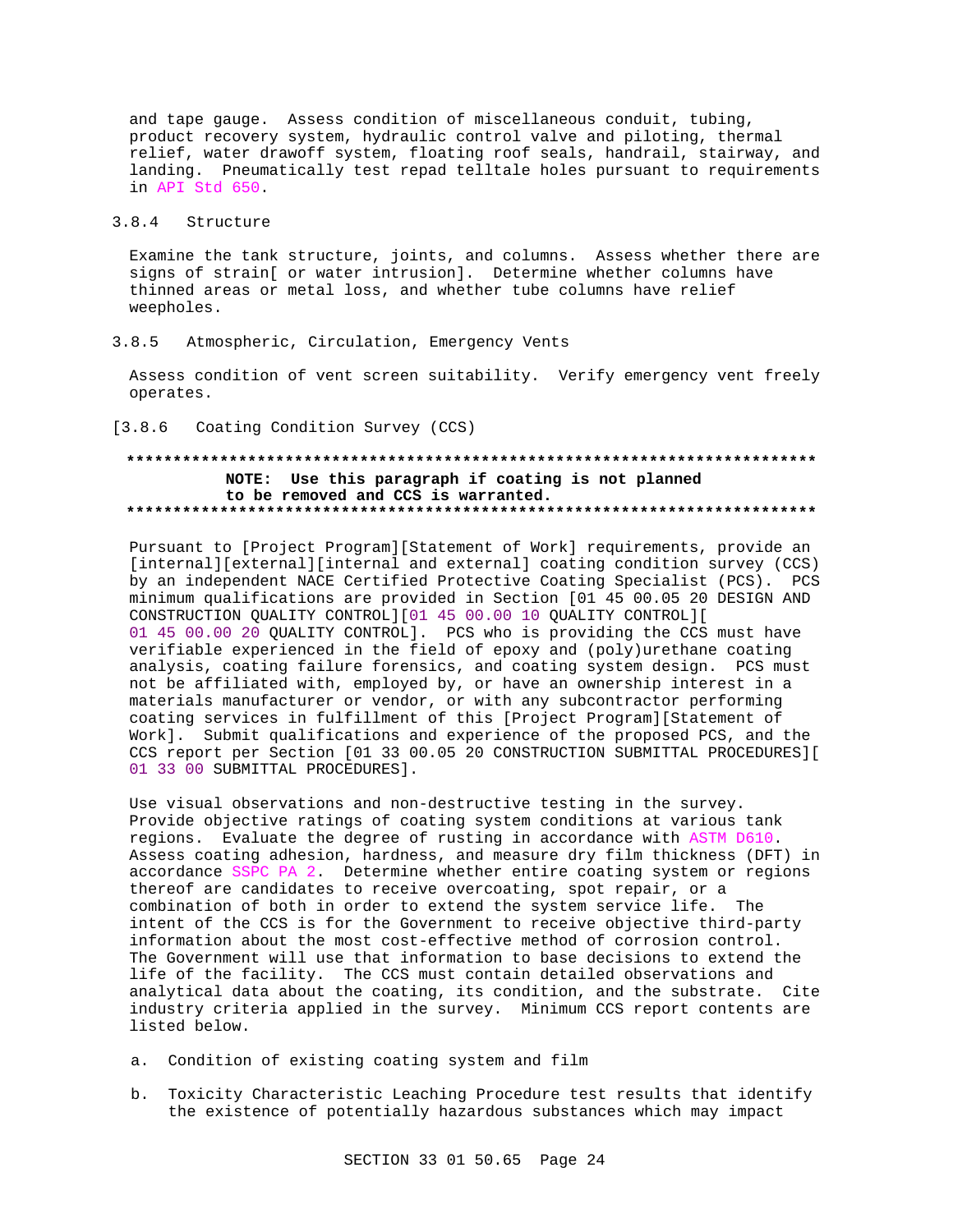and tape gauge. Assess condition of miscellaneous conduit, tubing, product recovery system, hydraulic control valve and piloting, thermal relief, water drawoff system, floating roof seals, handrail, stairway, and landing. Pneumatically test repad telltale holes pursuant to requirements in API Std 650.

## 3.8.4 Structure

Examine the tank structure, joints, and columns. Assess whether there are signs of strain[ or water intrusion]. Determine whether columns have thinned areas or metal loss, and whether tube columns have relief weepholes.

## 3.8.5 Atmospheric, Circulation, Emergency Vents

Assess condition of vent screen suitability. Verify emergency vent freely operates.

## [3.8.6 Coating Condition Survey (CCS)

# **\*\*\*\*\*\*\*\*\*\*\*\*\*\*\*\*\*\*\*\*\*\*\*\*\*\*\*\*\*\*\*\*\*\*\*\*\*\*\*\*\*\*\*\*\*\*\*\*\*\*\*\*\*\*\*\*\*\*\*\*\*\*\*\*\*\*\*\*\*\*\*\*\*\* NOTE: Use this paragraph if coating is not planned to be removed and CCS is warranted. \*\*\*\*\*\*\*\*\*\*\*\*\*\*\*\*\*\*\*\*\*\*\*\*\*\*\*\*\*\*\*\*\*\*\*\*\*\*\*\*\*\*\*\*\*\*\*\*\*\*\*\*\*\*\*\*\*\*\*\*\*\*\*\*\*\*\*\*\*\*\*\*\*\***

Pursuant to [Project Program][Statement of Work] requirements, provide an [internal][external][internal and external] coating condition survey (CCS) by an independent NACE Certified Protective Coating Specialist (PCS). PCS minimum qualifications are provided in Section [01 45 00.05 20 DESIGN AND CONSTRUCTION QUALITY CONTROL][01 45 00.00 10 QUALITY CONTROL][ 01 45 00.00 20 QUALITY CONTROL]. PCS who is providing the CCS must have verifiable experienced in the field of epoxy and (poly)urethane coating analysis, coating failure forensics, and coating system design. PCS must not be affiliated with, employed by, or have an ownership interest in a materials manufacturer or vendor, or with any subcontractor performing coating services in fulfillment of this [Project Program][Statement of Work]. Submit qualifications and experience of the proposed PCS, and the CCS report per Section [01 33 00.05 20 CONSTRUCTION SUBMITTAL PROCEDURES][ 01 33 00 SUBMITTAL PROCEDURES].

Use visual observations and non-destructive testing in the survey. Provide objective ratings of coating system conditions at various tank regions. Evaluate the degree of rusting in accordance with ASTM D610. Assess coating adhesion, hardness, and measure dry film thickness (DFT) in accordance SSPC PA 2. Determine whether entire coating system or regions thereof are candidates to receive overcoating, spot repair, or a combination of both in order to extend the system service life. The intent of the CCS is for the Government to receive objective third-party information about the most cost-effective method of corrosion control. The Government will use that information to base decisions to extend the life of the facility. The CCS must contain detailed observations and analytical data about the coating, its condition, and the substrate. Cite industry criteria applied in the survey. Minimum CCS report contents are listed below.

- a. Condition of existing coating system and film
- b. Toxicity Characteristic Leaching Procedure test results that identify the existence of potentially hazardous substances which may impact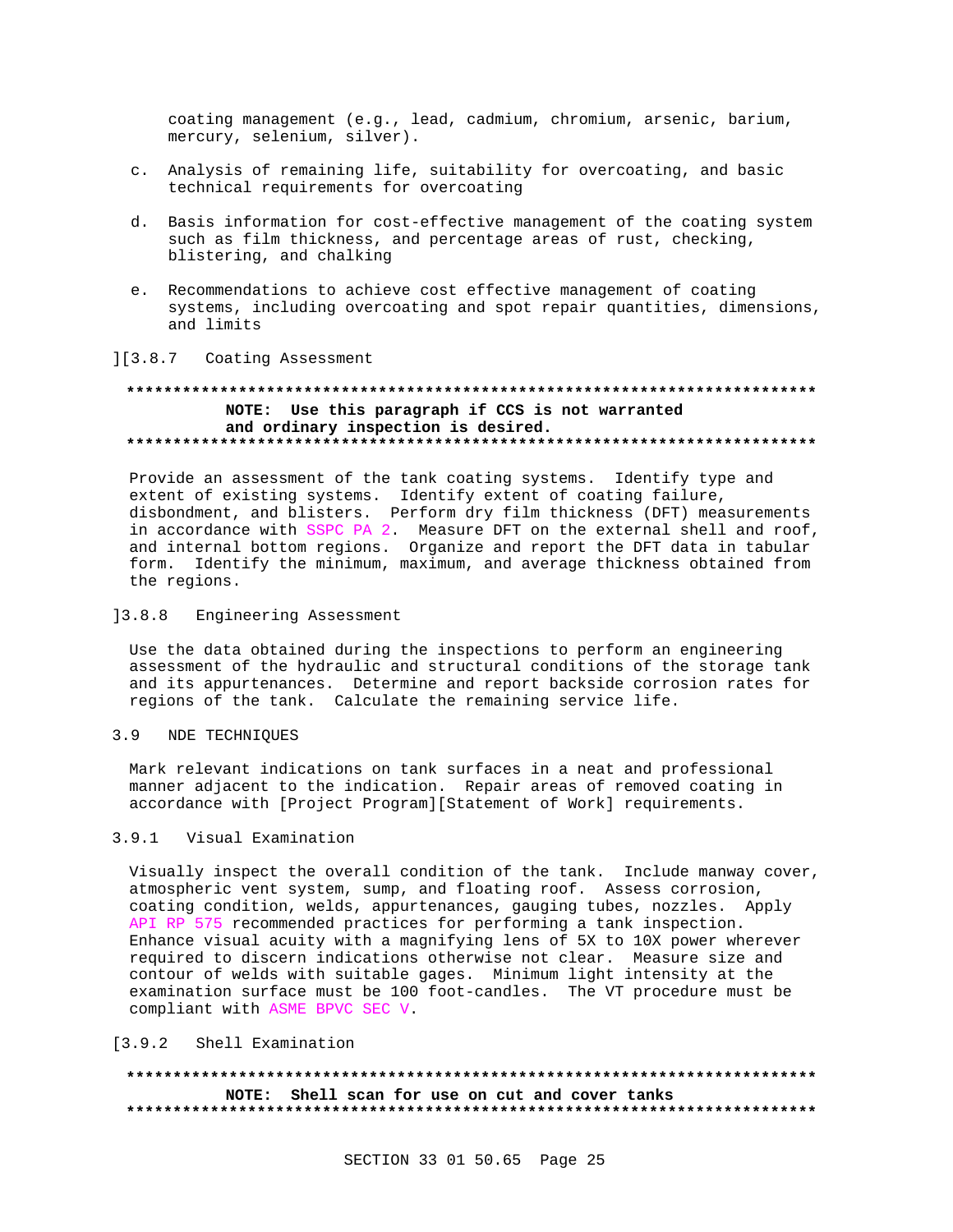coating management (e.g., lead, cadmium, chromium, arsenic, barium, mercury, selenium, silver).

- c. Analysis of remaining life, suitability for overcoating, and basic technical requirements for overcoating
- d. Basis information for cost-effective management of the coating system such as film thickness, and percentage areas of rust, checking, blistering, and chalking
- e. Recommendations to achieve cost effective management of coating systems, including overcoating and spot repair quantities, dimensions, and limits

## ][3.8.7 Coating Assessment

# NOTE: Use this paragraph if CCS is not warranted and ordinary inspection is desired.

Provide an assessment of the tank coating systems. Identify type and extent of existing systems. Identify extent of coating failure, disbondment, and blisters. Perform dry film thickness (DFT) measurements in accordance with SSPC PA 2. Measure DFT on the external shell and roof, and internal bottom regions. Organize and report the DFT data in tabular form. Identify the minimum, maximum, and average thickness obtained from the regions.

## 13.8.8 Engineering Assessment

Use the data obtained during the inspections to perform an engineering assessment of the hydraulic and structural conditions of the storage tank and its appurtenances. Determine and report backside corrosion rates for regions of the tank. Calculate the remaining service life.

#### $3.9$ NDE TECHNIOUES

Mark relevant indications on tank surfaces in a neat and professional manner adjacent to the indication. Repair areas of removed coating in accordance with [Project Program][Statement of Work] requirements.

## 3.9.1 Visual Examination

Visually inspect the overall condition of the tank. Include manway cover, atmospheric vent system, sump, and floating roof. Assess corrosion, coating condition, welds, appurtenances, gauging tubes, nozzles. Apply API RP 575 recommended practices for performing a tank inspection. Enhance visual acuity with a magnifying lens of 5X to 10X power wherever required to discern indications otherwise not clear. Measure size and contour of welds with suitable gages. Minimum light intensity at the examination surface must be 100 foot-candles. The VT procedure must be compliant with ASME BPVC SEC V.

### [3.9.2 Shell Examination

NOTE: Shell scan for use on cut and cover tanks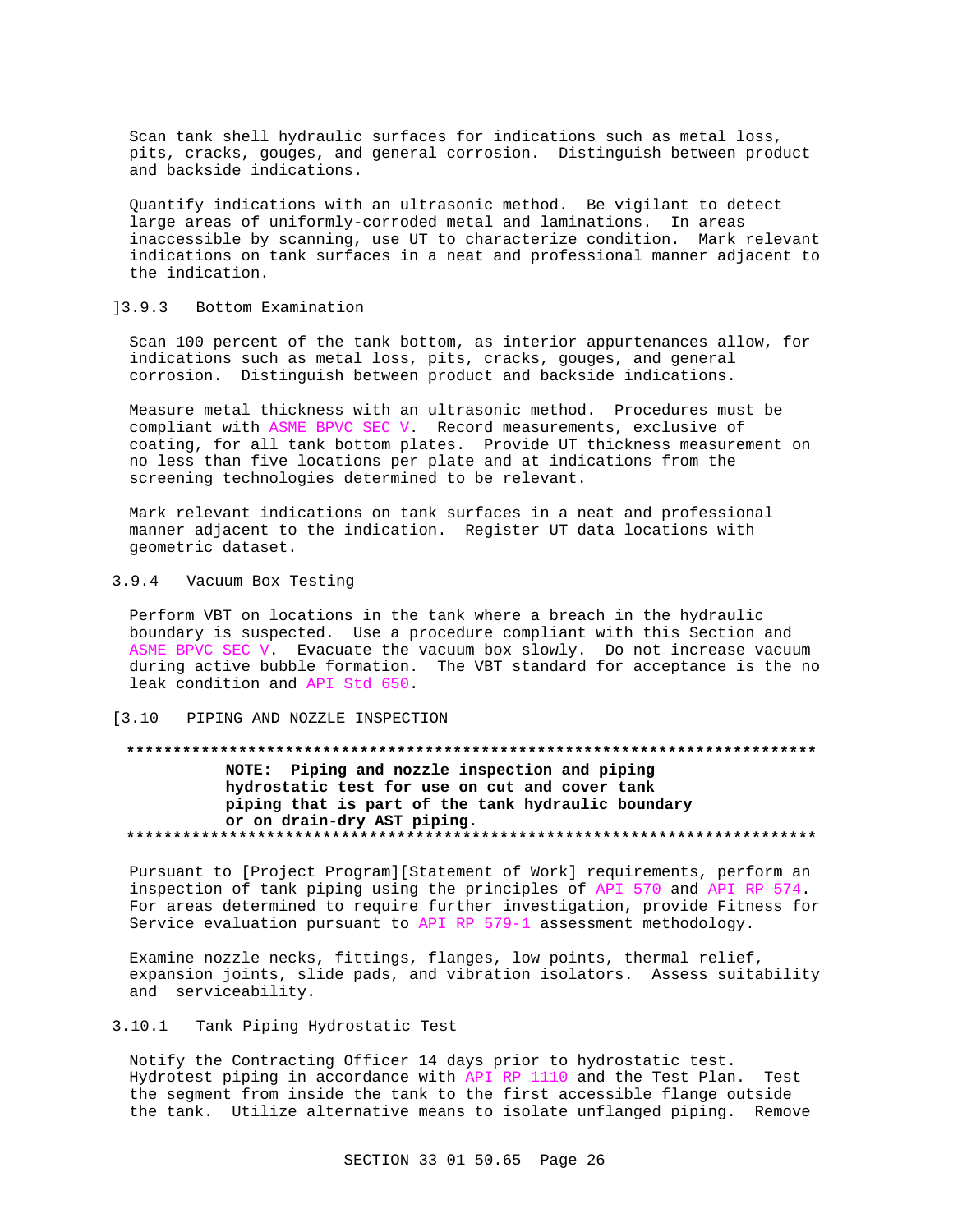Scan tank shell hydraulic surfaces for indications such as metal loss, pits, cracks, gouges, and general corrosion. Distinguish between product and backside indications.

Quantify indications with an ultrasonic method. Be vigilant to detect large areas of uniformly-corroded metal and laminations. In areas inaccessible by scanning, use UT to characterize condition. Mark relevant indications on tank surfaces in a neat and professional manner adjacent to the indication.

## ]3.9.3 Bottom Examination

Scan 100 percent of the tank bottom, as interior appurtenances allow, for indications such as metal loss, pits, cracks, gouges, and general corrosion. Distinguish between product and backside indications.

Measure metal thickness with an ultrasonic method. Procedures must be compliant with ASME BPVC SEC V. Record measurements, exclusive of coating, for all tank bottom plates. Provide UT thickness measurement on no less than five locations per plate and at indications from the screening technologies determined to be relevant.

Mark relevant indications on tank surfaces in a neat and professional manner adjacent to the indication. Register UT data locations with geometric dataset.

3.9.4 Vacuum Box Testing

Perform VBT on locations in the tank where a breach in the hydraulic boundary is suspected. Use a procedure compliant with this Section and ASME BPVC SEC V. Evacuate the vacuum box slowly. Do not increase vacuum during active bubble formation. The VBT standard for acceptance is the no leak condition and API Std 650.

## [3.10 PIPING AND NOZZLE INSPECTION

# **\*\*\*\*\*\*\*\*\*\*\*\*\*\*\*\*\*\*\*\*\*\*\*\*\*\*\*\*\*\*\*\*\*\*\*\*\*\*\*\*\*\*\*\*\*\*\*\*\*\*\*\*\*\*\*\*\*\*\*\*\*\*\*\*\*\*\*\*\*\*\*\*\*\* NOTE: Piping and nozzle inspection and piping hydrostatic test for use on cut and cover tank piping that is part of the tank hydraulic boundary or on drain-dry AST piping. \*\*\*\*\*\*\*\*\*\*\*\*\*\*\*\*\*\*\*\*\*\*\*\*\*\*\*\*\*\*\*\*\*\*\*\*\*\*\*\*\*\*\*\*\*\*\*\*\*\*\*\*\*\*\*\*\*\*\*\*\*\*\*\*\*\*\*\*\*\*\*\*\*\***

Pursuant to [Project Program][Statement of Work] requirements, perform an inspection of tank piping using the principles of API 570 and API RP 574. For areas determined to require further investigation, provide Fitness for Service evaluation pursuant to API RP 579-1 assessment methodology.

Examine nozzle necks, fittings, flanges, low points, thermal relief, expansion joints, slide pads, and vibration isolators. Assess suitability and serviceability.

## 3.10.1 Tank Piping Hydrostatic Test

Notify the Contracting Officer 14 days prior to hydrostatic test. Hydrotest piping in accordance with API RP 1110 and the Test Plan. Test the segment from inside the tank to the first accessible flange outside the tank. Utilize alternative means to isolate unflanged piping. Remove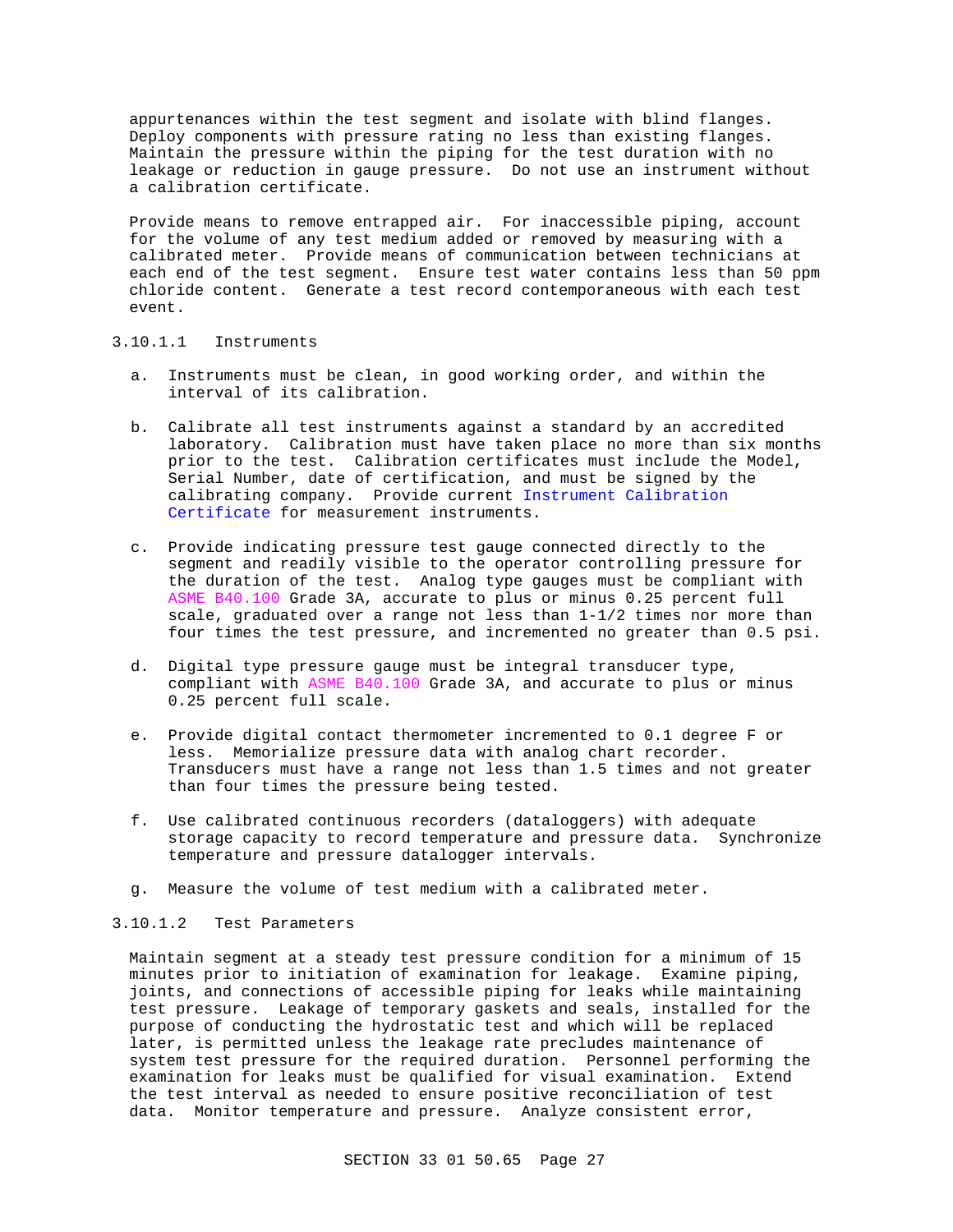appurtenances within the test segment and isolate with blind flanges. Deploy components with pressure rating no less than existing flanges. Maintain the pressure within the piping for the test duration with no leakage or reduction in gauge pressure. Do not use an instrument without a calibration certificate.

Provide means to remove entrapped air. For inaccessible piping, account for the volume of any test medium added or removed by measuring with a calibrated meter. Provide means of communication between technicians at each end of the test segment. Ensure test water contains less than 50 ppm chloride content. Generate a test record contemporaneous with each test event.

## 3.10.1.1 Instruments

- a. Instruments must be clean, in good working order, and within the interval of its calibration.
- b. Calibrate all test instruments against a standard by an accredited laboratory. Calibration must have taken place no more than six months prior to the test. Calibration certificates must include the Model, Serial Number, date of certification, and must be signed by the calibrating company. Provide current Instrument Calibration Certificate for measurement instruments.
- c. Provide indicating pressure test gauge connected directly to the segment and readily visible to the operator controlling pressure for the duration of the test. Analog type gauges must be compliant with ASME B40.100 Grade 3A, accurate to plus or minus 0.25 percent full scale, graduated over a range not less than 1-1/2 times nor more than four times the test pressure, and incremented no greater than 0.5 psi.
- d. Digital type pressure gauge must be integral transducer type, compliant with ASME B40.100 Grade 3A, and accurate to plus or minus 0.25 percent full scale.
- e. Provide digital contact thermometer incremented to 0.1 degree F or less. Memorialize pressure data with analog chart recorder. Transducers must have a range not less than 1.5 times and not greater than four times the pressure being tested.
- f. Use calibrated continuous recorders (dataloggers) with adequate storage capacity to record temperature and pressure data. Synchronize temperature and pressure datalogger intervals.
- g. Measure the volume of test medium with a calibrated meter.

## 3.10.1.2 Test Parameters

Maintain segment at a steady test pressure condition for a minimum of 15 minutes prior to initiation of examination for leakage. Examine piping, joints, and connections of accessible piping for leaks while maintaining test pressure. Leakage of temporary gaskets and seals, installed for the purpose of conducting the hydrostatic test and which will be replaced later, is permitted unless the leakage rate precludes maintenance of system test pressure for the required duration. Personnel performing the examination for leaks must be qualified for visual examination. Extend the test interval as needed to ensure positive reconciliation of test data. Monitor temperature and pressure. Analyze consistent error,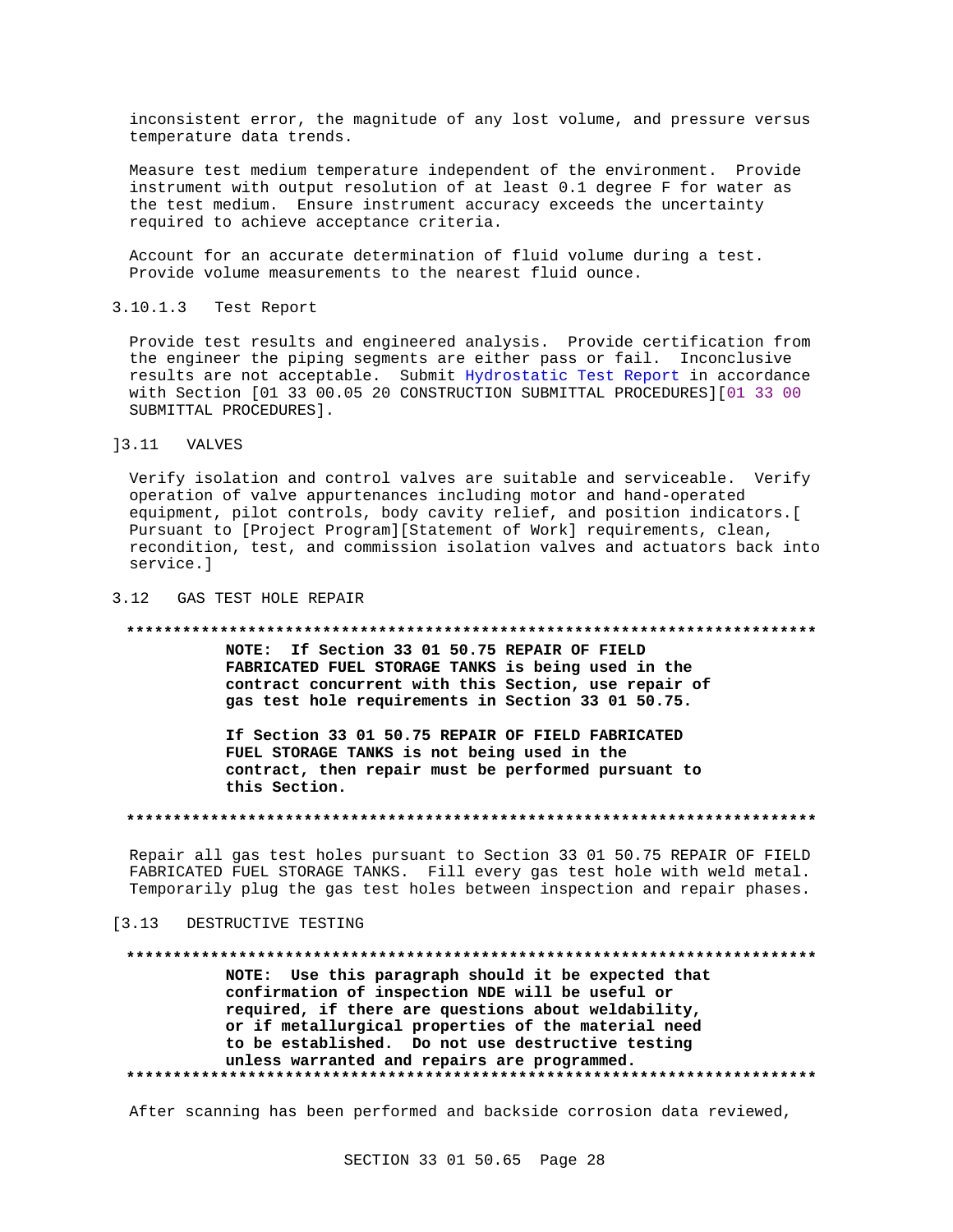inconsistent error, the magnitude of any lost volume, and pressure versus temperature data trends.

Measure test medium temperature independent of the environment. Provide instrument with output resolution of at least 0.1 degree F for water as the test medium. Ensure instrument accuracy exceeds the uncertainty required to achieve acceptance criteria.

Account for an accurate determination of fluid volume during a test. Provide volume measurements to the nearest fluid ounce.

#### $3.10.1.3$ Test Report

Provide test results and engineered analysis. Provide certification from the engineer the piping segments are either pass or fail. Inconclusive results are not acceptable. Submit Hydrostatic Test Report in accordance with Section [01 33 00.05 20 CONSTRUCTION SUBMITTAL PROCEDURES] [01 33 00 SUBMITTAL PROCEDURES].

## 13.11 VALVES

Verify isolation and control valves are suitable and serviceable. Verify operation of valve appurtenances including motor and hand-operated equipment, pilot controls, body cavity relief, and position indicators. [ Pursuant to [Project Program][Statement of Work] requirements, clean, recondition, test, and commission isolation valves and actuators back into service.]

### 3.12 GAS TEST HOLE REPAIR

#### 

NOTE: If Section 33 01 50.75 REPAIR OF FIELD FABRICATED FUEL STORAGE TANKS is being used in the contract concurrent with this Section, use repair of gas test hole requirements in Section 33 01 50.75.

If Section 33 01 50.75 REPAIR OF FIELD FABRICATED FUEL STORAGE TANKS is not being used in the contract, then repair must be performed pursuant to this Section.

## 

Repair all gas test holes pursuant to Section 33 01 50.75 REPAIR OF FIELD FABRICATED FUEL STORAGE TANKS. Fill every gas test hole with weld metal. Temporarily plug the gas test holes between inspection and repair phases.

#### $[3.13]$ DESTRUCTIVE TESTING

# NOTE: Use this paragraph should it be expected that

confirmation of inspection NDE will be useful or required, if there are questions about weldability, or if metallurgical properties of the material need to be established. Do not use destructive testing unless warranted and repairs are programmed. 

After scanning has been performed and backside corrosion data reviewed,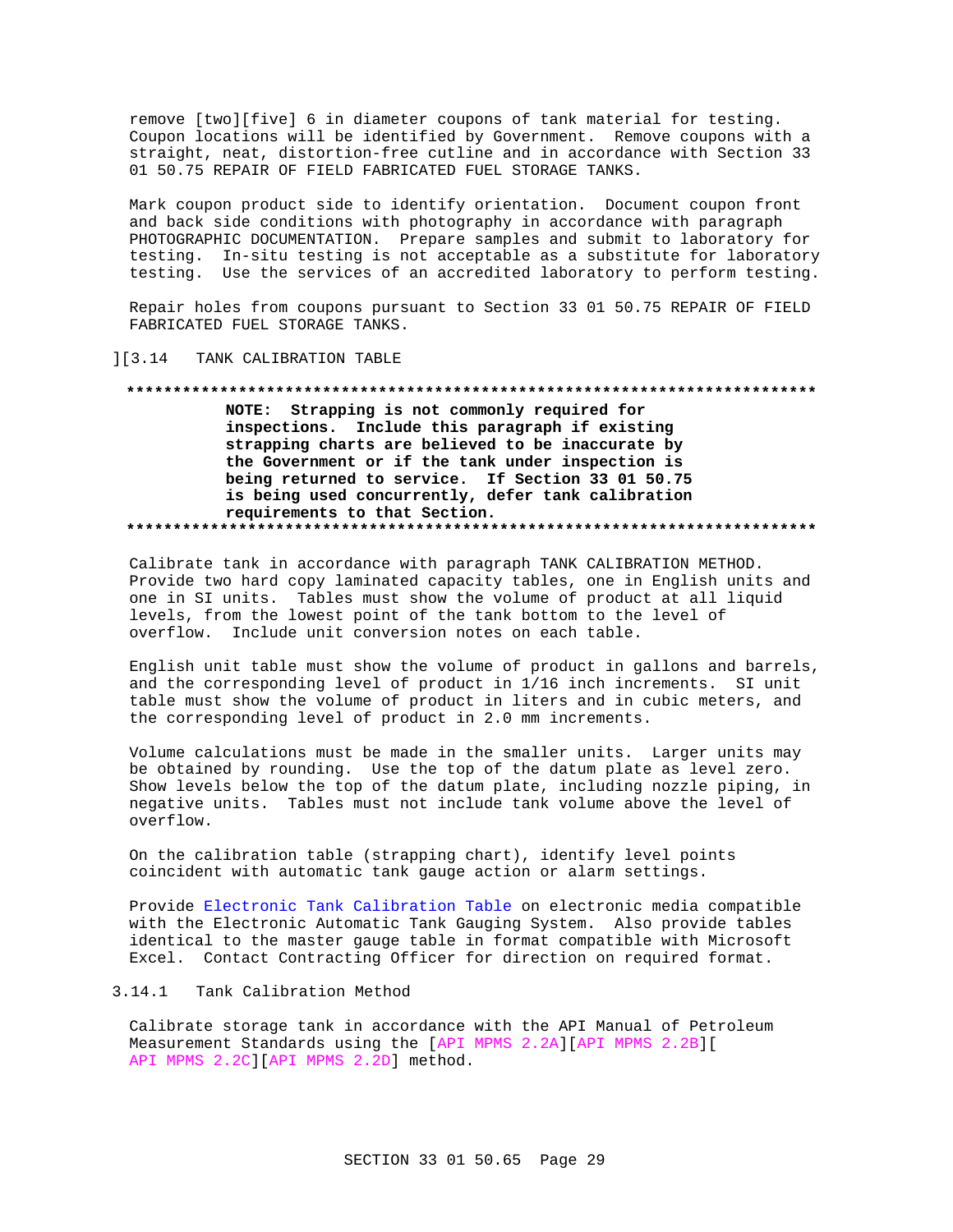remove [two][five] 6 in diameter coupons of tank material for testing. Coupon locations will be identified by Government. Remove coupons with a straight, neat, distortion-free cutline and in accordance with Section 33 01 50.75 REPAIR OF FIELD FABRICATED FUEL STORAGE TANKS.

Mark coupon product side to identify orientation. Document coupon front and back side conditions with photography in accordance with paragraph PHOTOGRAPHIC DOCUMENTATION. Prepare samples and submit to laboratory for testing. In-situ testing is not acceptable as a substitute for laboratory testing. Use the services of an accredited laboratory to perform testing.

Repair holes from coupons pursuant to Section 33 01 50.75 REPAIR OF FIELD FABRICATED FUEL STORAGE TANKS.

## ][3.14 TANK CALIBRATION TABLE

# NOTE: Strapping is not commonly required for inspections. Include this paragraph if existing strapping charts are believed to be inaccurate by the Government or if the tank under inspection is being returned to service. If Section 33 01 50.75 is being used concurrently, defer tank calibration requirements to that Section.

Calibrate tank in accordance with paragraph TANK CALIBRATION METHOD. Provide two hard copy laminated capacity tables, one in English units and one in SI units. Tables must show the volume of product at all liquid levels, from the lowest point of the tank bottom to the level of overflow. Include unit conversion notes on each table.

English unit table must show the volume of product in gallons and barrels, and the corresponding level of product in 1/16 inch increments. SI unit table must show the volume of product in liters and in cubic meters, and the corresponding level of product in 2.0 mm increments.

Volume calculations must be made in the smaller units. Larger units may be obtained by rounding. Use the top of the datum plate as level zero. Show levels below the top of the datum plate, including nozzle piping, in negative units. Tables must not include tank volume above the level of overflow.

On the calibration table (strapping chart), identify level points coincident with automatic tank gauge action or alarm settings.

Provide Electronic Tank Calibration Table on electronic media compatible with the Electronic Automatic Tank Gauging System. Also provide tables identical to the master gauge table in format compatible with Microsoft Excel. Contact Contracting Officer for direction on required format.

# 3.14.1 Tank Calibration Method

Calibrate storage tank in accordance with the API Manual of Petroleum Measurement Standards using the [API MPMS 2.2A] [API MPMS 2.2B] [ API MPMS 2.2C][API MPMS 2.2D] method.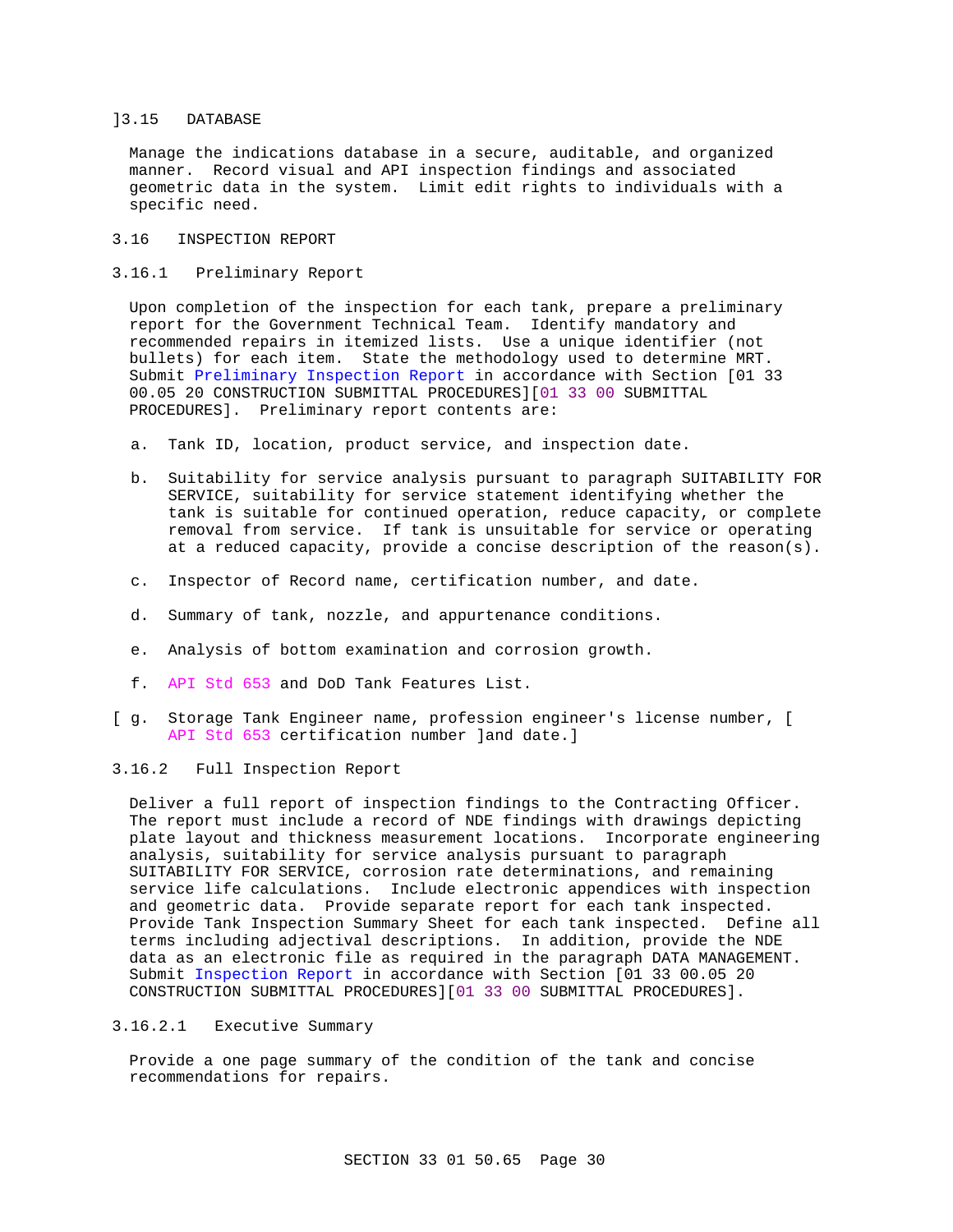## ]3.15 DATABASE

Manage the indications database in a secure, auditable, and organized manner. Record visual and API inspection findings and associated geometric data in the system. Limit edit rights to individuals with a specific need.

## 3.16 INSPECTION REPORT

3.16.1 Preliminary Report

Upon completion of the inspection for each tank, prepare a preliminary report for the Government Technical Team. Identify mandatory and recommended repairs in itemized lists. Use a unique identifier (not bullets) for each item. State the methodology used to determine MRT. Submit Preliminary Inspection Report in accordance with Section [01 33 00.05 20 CONSTRUCTION SUBMITTAL PROCEDURES][01 33 00 SUBMITTAL PROCEDURES]. Preliminary report contents are:

- a. Tank ID, location, product service, and inspection date.
- b. Suitability for service analysis pursuant to paragraph SUITABILITY FOR SERVICE, suitability for service statement identifying whether the tank is suitable for continued operation, reduce capacity, or complete removal from service. If tank is unsuitable for service or operating at a reduced capacity, provide a concise description of the reason(s).
- c. Inspector of Record name, certification number, and date.
- d. Summary of tank, nozzle, and appurtenance conditions.
- e. Analysis of bottom examination and corrosion growth.
- f. API Std 653 and DoD Tank Features List.
- [ g. Storage Tank Engineer name, profession engineer's license number, [ API Std 653 certification number ]and date.]

## 3.16.2 Full Inspection Report

Deliver a full report of inspection findings to the Contracting Officer. The report must include a record of NDE findings with drawings depicting plate layout and thickness measurement locations. Incorporate engineering analysis, suitability for service analysis pursuant to paragraph SUITABILITY FOR SERVICE, corrosion rate determinations, and remaining service life calculations. Include electronic appendices with inspection and geometric data. Provide separate report for each tank inspected. Provide Tank Inspection Summary Sheet for each tank inspected. Define all terms including adjectival descriptions. In addition, provide the NDE data as an electronic file as required in the paragraph DATA MANAGEMENT. Submit Inspection Report in accordance with Section [01 33 00.05 20 CONSTRUCTION SUBMITTAL PROCEDURES][01 33 00 SUBMITTAL PROCEDURES].

## 3.16.2.1 Executive Summary

Provide a one page summary of the condition of the tank and concise recommendations for repairs.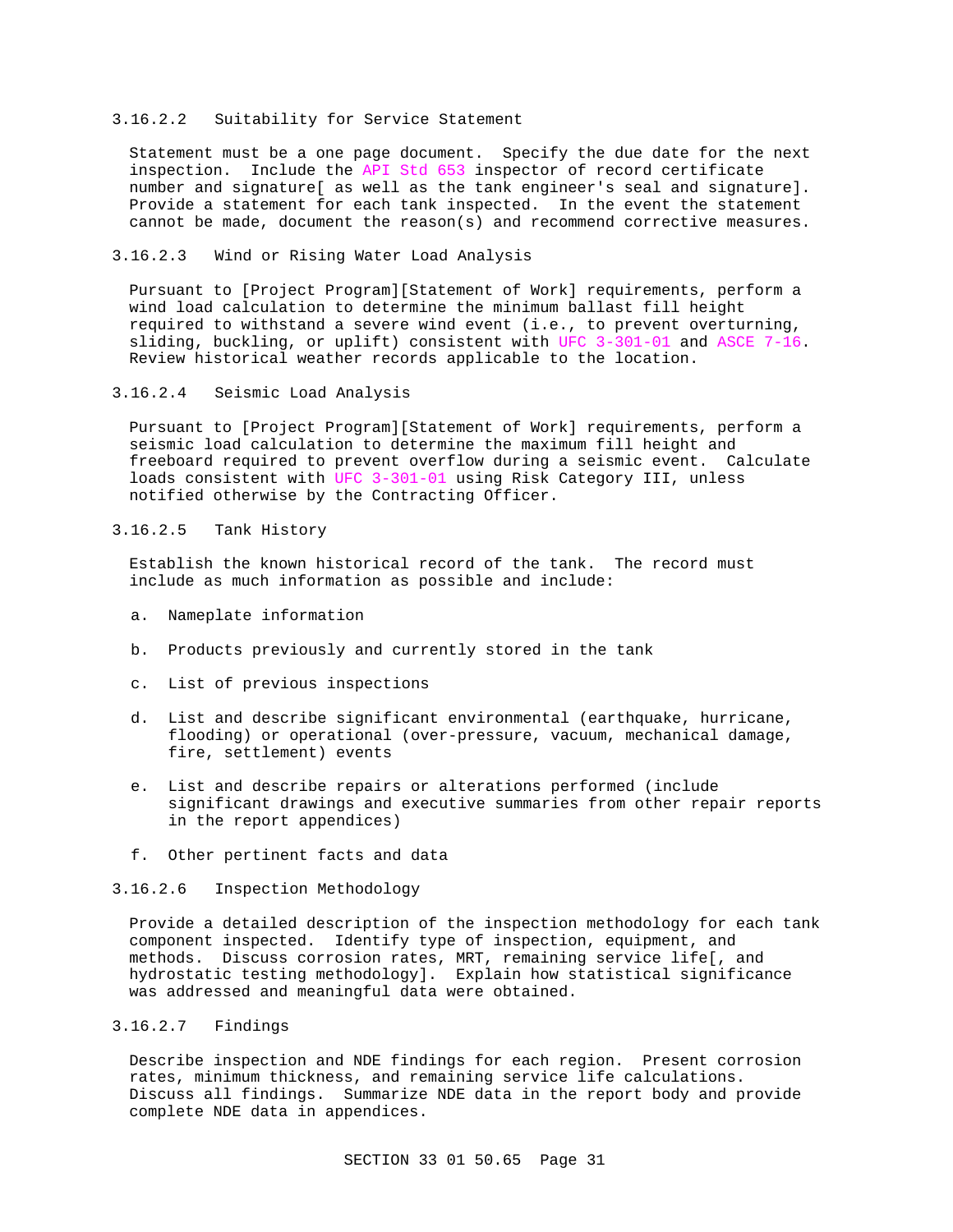### 3.16.2.2 Suitability for Service Statement

Statement must be a one page document. Specify the due date for the next inspection. Include the API Std 653 inspector of record certificate number and signature[ as well as the tank engineer's seal and signature]. Provide a statement for each tank inspected. In the event the statement cannot be made, document the reason(s) and recommend corrective measures.

## 3.16.2.3 Wind or Rising Water Load Analysis

Pursuant to [Project Program][Statement of Work] requirements, perform a wind load calculation to determine the minimum ballast fill height required to withstand a severe wind event (i.e., to prevent overturning, sliding, buckling, or uplift) consistent with UFC 3-301-01 and ASCE 7-16. Review historical weather records applicable to the location.

3.16.2.4 Seismic Load Analysis

Pursuant to [Project Program][Statement of Work] requirements, perform a seismic load calculation to determine the maximum fill height and freeboard required to prevent overflow during a seismic event. Calculate loads consistent with UFC 3-301-01 using Risk Category III, unless notified otherwise by the Contracting Officer.

## 3.16.2.5 Tank History

Establish the known historical record of the tank. The record must include as much information as possible and include:

- a. Nameplate information
- b. Products previously and currently stored in the tank
- c. List of previous inspections
- d. List and describe significant environmental (earthquake, hurricane, flooding) or operational (over-pressure, vacuum, mechanical damage, fire, settlement) events
- e. List and describe repairs or alterations performed (include significant drawings and executive summaries from other repair reports in the report appendices)
- f. Other pertinent facts and data

## 3.16.2.6 Inspection Methodology

Provide a detailed description of the inspection methodology for each tank component inspected. Identify type of inspection, equipment, and methods. Discuss corrosion rates, MRT, remaining service life[, and hydrostatic testing methodology]. Explain how statistical significance was addressed and meaningful data were obtained.

## 3.16.2.7 Findings

Describe inspection and NDE findings for each region. Present corrosion rates, minimum thickness, and remaining service life calculations. Discuss all findings. Summarize NDE data in the report body and provide complete NDE data in appendices.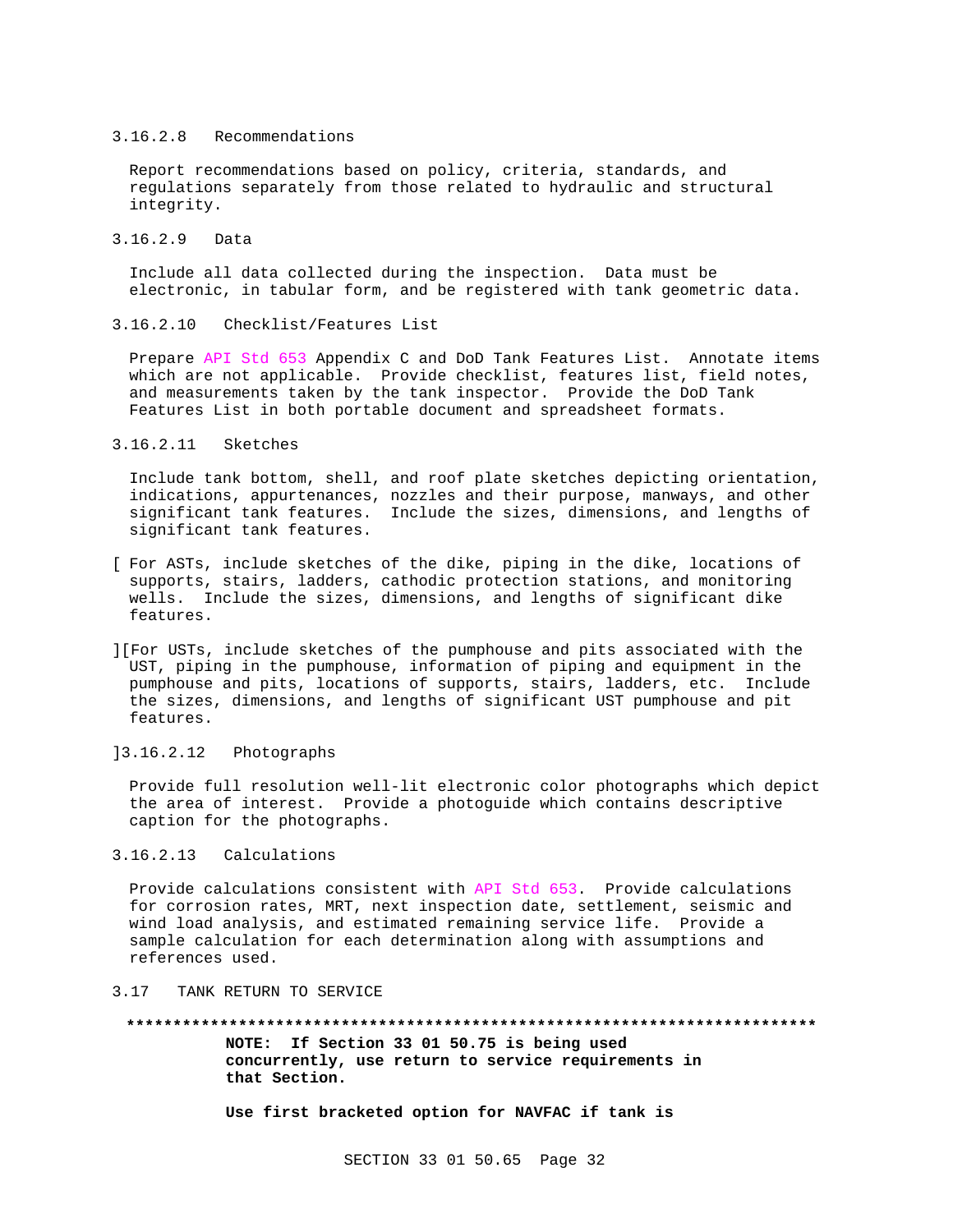### 3.16.2.8 Recommendations

Report recommendations based on policy, criteria, standards, and regulations separately from those related to hydraulic and structural integrity.

3.16.2.9 Data

Include all data collected during the inspection. Data must be electronic, in tabular form, and be registered with tank geometric data.

### 3.16.2.10 Checklist/Features List

Prepare API Std 653 Appendix C and DoD Tank Features List. Annotate items which are not applicable. Provide checklist, features list, field notes, and measurements taken by the tank inspector. Provide the DoD Tank Features List in both portable document and spreadsheet formats.

3.16.2.11 Sketches

Include tank bottom, shell, and roof plate sketches depicting orientation, indications, appurtenances, nozzles and their purpose, manways, and other significant tank features. Include the sizes, dimensions, and lengths of significant tank features.

- [ For ASTs, include sketches of the dike, piping in the dike, locations of supports, stairs, ladders, cathodic protection stations, and monitoring wells. Include the sizes, dimensions, and lengths of significant dike features.
- ][For USTs, include sketches of the pumphouse and pits associated with the UST, piping in the pumphouse, information of piping and equipment in the pumphouse and pits, locations of supports, stairs, ladders, etc. Include the sizes, dimensions, and lengths of significant UST pumphouse and pit features.
- ]3.16.2.12 Photographs

Provide full resolution well-lit electronic color photographs which depict the area of interest. Provide a photoguide which contains descriptive caption for the photographs.

## 3.16.2.13 Calculations

Provide calculations consistent with API Std 653. Provide calculations for corrosion rates, MRT, next inspection date, settlement, seismic and wind load analysis, and estimated remaining service life. Provide a sample calculation for each determination along with assumptions and references used.

### 3.17 TANK RETURN TO SERVICE

**\*\*\*\*\*\*\*\*\*\*\*\*\*\*\*\*\*\*\*\*\*\*\*\*\*\*\*\*\*\*\*\*\*\*\*\*\*\*\*\*\*\*\*\*\*\*\*\*\*\*\*\*\*\*\*\*\*\*\*\*\*\*\*\*\*\*\*\*\*\*\*\*\*\* NOTE: If Section 33 01 50.75 is being used concurrently, use return to service requirements in that Section.**

**Use first bracketed option for NAVFAC if tank is**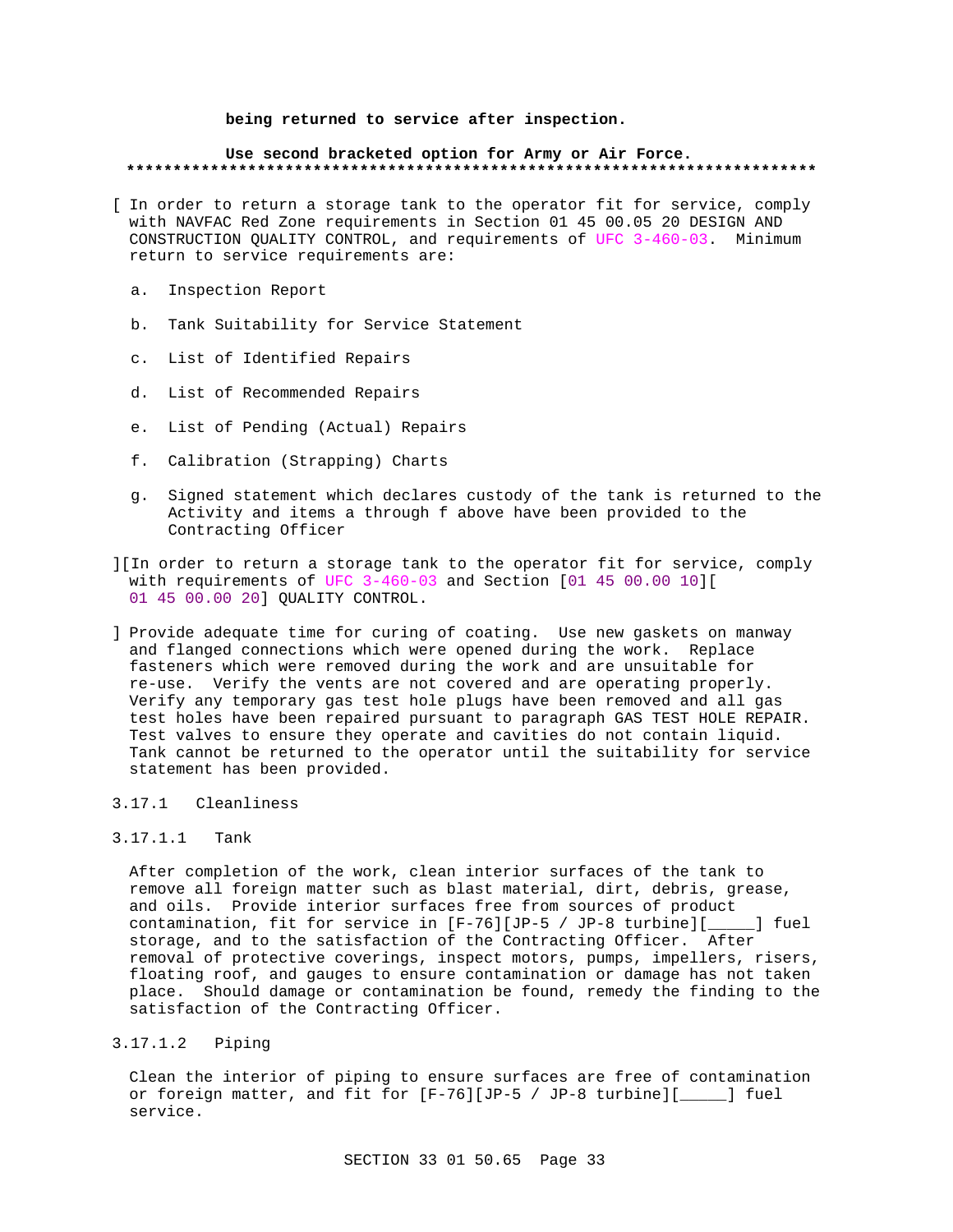## **being returned to service after inspection.**

### **Use second bracketed option for Army or Air Force. \*\*\*\*\*\*\*\*\*\*\*\*\*\*\*\*\*\*\*\*\*\*\*\*\*\*\*\*\*\*\*\*\*\*\*\*\*\*\*\*\*\*\*\*\*\*\*\*\*\*\*\*\*\*\*\*\*\*\*\*\*\*\*\*\*\*\*\*\*\*\*\*\*\***

- [ In order to return a storage tank to the operator fit for service, comply with NAVFAC Red Zone requirements in Section 01 45 00.05 20 DESIGN AND CONSTRUCTION QUALITY CONTROL, and requirements of UFC 3-460-03. Minimum return to service requirements are:
	- a. Inspection Report
	- b. Tank Suitability for Service Statement
	- c. List of Identified Repairs
	- d. List of Recommended Repairs
	- e. List of Pending (Actual) Repairs
	- f. Calibration (Strapping) Charts
	- g. Signed statement which declares custody of the tank is returned to the Activity and items a through f above have been provided to the Contracting Officer
- ][In order to return a storage tank to the operator fit for service, comply with requirements of UFC 3-460-03 and Section [01 45 00.00 10][ 01 45 00.00 20] QUALITY CONTROL.
- ] Provide adequate time for curing of coating. Use new gaskets on manway and flanged connections which were opened during the work. Replace fasteners which were removed during the work and are unsuitable for re-use. Verify the vents are not covered and are operating properly. Verify any temporary gas test hole plugs have been removed and all gas test holes have been repaired pursuant to paragraph GAS TEST HOLE REPAIR. Test valves to ensure they operate and cavities do not contain liquid. Tank cannot be returned to the operator until the suitability for service statement has been provided.

## 3.17.1 Cleanliness

## 3.17.1.1 Tank

After completion of the work, clean interior surfaces of the tank to remove all foreign matter such as blast material, dirt, debris, grease, and oils. Provide interior surfaces free from sources of product contamination, fit for service in [F-76][JP-5 / JP-8 turbine][\_\_\_\_\_] fuel storage, and to the satisfaction of the Contracting Officer. After removal of protective coverings, inspect motors, pumps, impellers, risers, floating roof, and gauges to ensure contamination or damage has not taken place. Should damage or contamination be found, remedy the finding to the satisfaction of the Contracting Officer.

3.17.1.2 Piping

Clean the interior of piping to ensure surfaces are free of contamination or foreign matter, and fit for [F-76][JP-5 / JP-8 turbine][\_\_\_\_\_] fuel service.